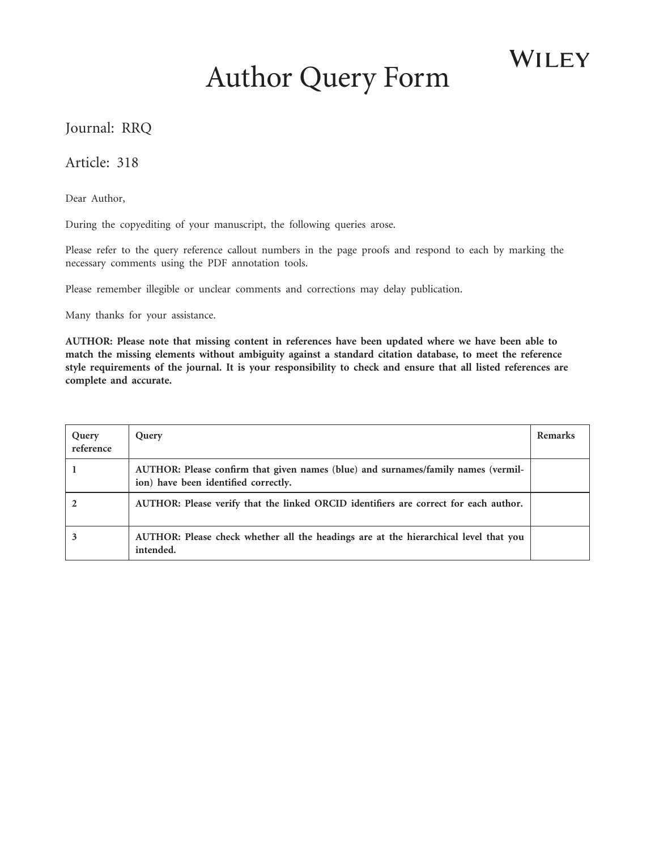# Author Query Form

WILEY

## Journal: RRQ

#### Article: 318

Dear Author,

During the copyediting of your manuscript, the following queries arose.

Please refer to the query reference callout numbers in the page proofs and respond to each by marking the necessary comments using the PDF annotation tools.

Please remember illegible or unclear comments and corrections may delay publication.

Many thanks for your assistance.

**AUTHOR: Please note that missing content in references have been updated where we have been able to match the missing elements without ambiguity against a standard citation database, to meet the reference style requirements of the journal. It is your responsibility to check and ensure that all listed references are complete and accurate.**

<span id="page-0-2"></span><span id="page-0-1"></span><span id="page-0-0"></span>

| Query<br>reference | Query                                                                                                                     | Remarks |
|--------------------|---------------------------------------------------------------------------------------------------------------------------|---------|
|                    | AUTHOR: Please confirm that given names (blue) and surnames/family names (vermil-<br>ion) have been identified correctly. |         |
|                    | AUTHOR: Please verify that the linked ORCID identifiers are correct for each author.                                      |         |
|                    | AUTHOR: Please check whether all the headings are at the hierarchical level that you<br>intended.                         |         |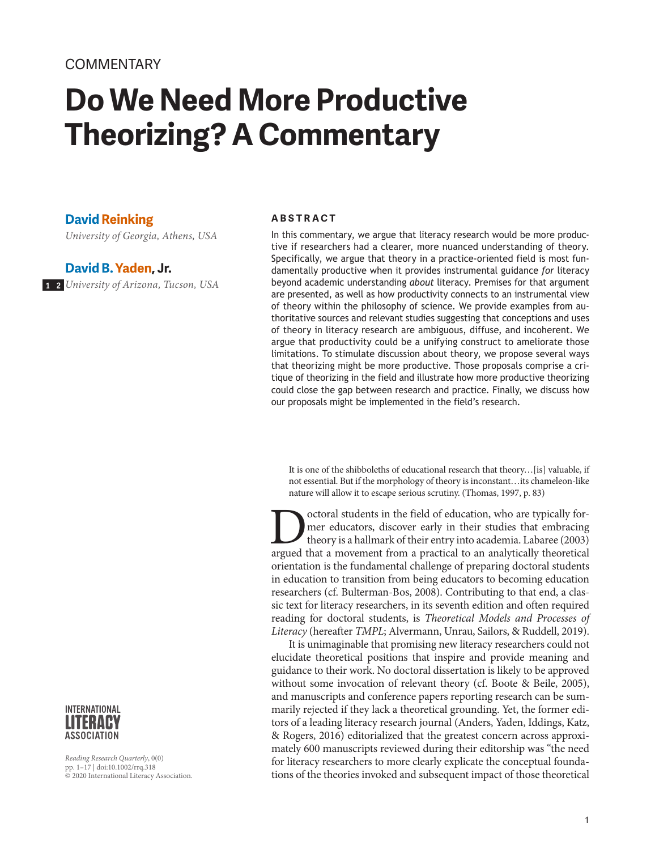# **Do We Need More Productive Theorizing? A Commentary**

#### **David Reinking**

*University of Georgia, Athens, USA*

#### **David B. Yaden, Jr.**

<span id="page-1-1"></span><span id="page-1-0"></span>*University of Arizona, Tucson, USA* **[1](#page-0-0) [2](#page-0-1)**

#### INTERNATIONAL TERAEY **ASSOCIATION**

*Reading Research Quarterly*, 0(0) pp. 1–17 | doi:10.1002/rrq.318 © 2020 International Literacy Association.

#### **ABSTRACT**

In this commentary, we argue that literacy research would be more productive if researchers had a clearer, more nuanced understanding of theory. Specifically, we argue that theory in a practice-oriented field is most fundamentally productive when it provides instrumental guidance *for* literacy beyond academic understanding *about* literacy. Premises for that argument are presented, as well as how productivity connects to an instrumental view of theory within the philosophy of science. We provide examples from authoritative sources and relevant studies suggesting that conceptions and uses of theory in literacy research are ambiguous, diffuse, and incoherent. We argue that productivity could be a unifying construct to ameliorate those limitations. To stimulate discussion about theory, we propose several ways that theorizing might be more productive. Those proposals comprise a critique of theorizing in the field and illustrate how more productive theorizing could close the gap between research and practice. Finally, we discuss how our proposals might be implemented in the field's research.

It is one of the shibboleths of educational research that theory…[is] valuable, if not essential. But if the morphology of theory is inconstant…its chameleon-like nature will allow it to escape serious scrutiny. (Thomas, 1997, p. 83)

Octoral students in the field of education, who are typically for-<br>mer educators, discover early in their studies that embracing<br>theory is a hallmark of their entry into academia. Labaree (2003)<br>argued that a movement from mer educators, discover early in their studies that embracing theory is a hallmark of their entry into academia. Labaree (2003) argued that a movement from a practical to an analytically theoretical orientation is the fundamental challenge of preparing doctoral students in education to transition from being educators to becoming education researchers (cf. Bulterman-Bos, 2008). Contributing to that end, a classic text for literacy researchers, in its seventh edition and often required reading for doctoral students, is *Theoretical Models and Processes of Literacy* (hereafter *TMPL*; Alvermann, Unrau, Sailors, & Ruddell, 2019).

It is unimaginable that promising new literacy researchers could not elucidate theoretical positions that inspire and provide meaning and guidance to their work. No doctoral dissertation is likely to be approved without some invocation of relevant theory (cf. Boote & Beile, 2005), and manuscripts and conference papers reporting research can be summarily rejected if they lack a theoretical grounding. Yet, the former editors of a leading literacy research journal (Anders, Yaden, Iddings, Katz, & Rogers, 2016) editorialized that the greatest concern across approximately 600 manuscripts reviewed during their editorship was "the need for literacy researchers to more clearly explicate the conceptual foundations of the theories invoked and subsequent impact of those theoretical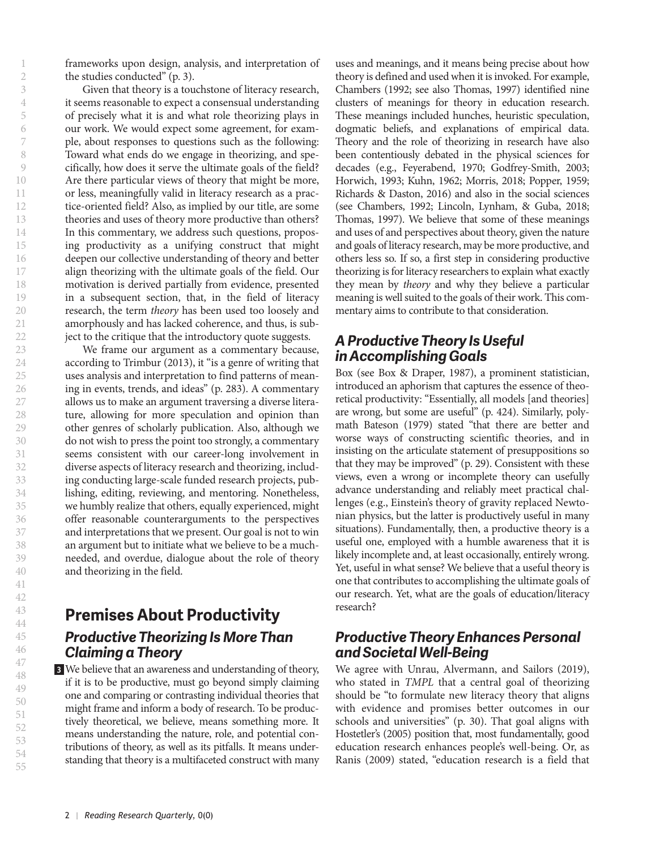frameworks upon design, analysis, and interpretation of the studies conducted" (p. 3).

Given that theory is a touchstone of literacy research, it seems reasonable to expect a consensual understanding of precisely what it is and what role theorizing plays in our work. We would expect some agreement, for example, about responses to questions such as the following: Toward what ends do we engage in theorizing, and specifically, how does it serve the ultimate goals of the field? Are there particular views of theory that might be more, or less, meaningfully valid in literacy research as a practice-oriented field? Also, as implied by our title, are some theories and uses of theory more productive than others? In this commentary, we address such questions, proposing productivity as a unifying construct that might deepen our collective understanding of theory and better align theorizing with the ultimate goals of the field. Our motivation is derived partially from evidence, presented in a subsequent section, that, in the field of literacy research, the term *theory* has been used too loosely and amorphously and has lacked coherence, and thus, is subject to the critique that the introductory quote suggests.

We frame our argument as a commentary because, according to Trimbur (2013), it "is a genre of writing that uses analysis and interpretation to find patterns of meaning in events, trends, and ideas" (p. 283). A commentary allows us to make an argument traversing a diverse literature, allowing for more speculation and opinion than other genres of scholarly publication. Also, although we do not wish to press the point too strongly, a commentary seems consistent with our career-long involvement in diverse aspects of literacy research and theorizing, including conducting large-scale funded research projects, publishing, editing, reviewing, and mentoring. Nonetheless, we humbly realize that others, equally experienced, might offer reasonable counterarguments to the perspectives and interpretations that we present. Our goal is not to win an argument but to initiate what we believe to be a muchneeded, and overdue, dialogue about the role of theory and theorizing in the field.

## **Premises About Productivity** *Productive Theorizing Is More Than Claiming a Theory*

<span id="page-2-0"></span>We believe that an awareness and understanding of theory, **[3](#page-0-2)**if it is to be productive, must go beyond simply claiming one and comparing or contrasting individual theories that might frame and inform a body of research. To be productively theoretical, we believe, means something more. It means understanding the nature, role, and potential contributions of theory, as well as its pitfalls. It means understanding that theory is a multifaceted construct with many

uses and meanings, and it means being precise about how theory is defined and used when it is invoked. For example, Chambers (1992; see also Thomas, 1997) identified nine clusters of meanings for theory in education research. These meanings included hunches, heuristic speculation, dogmatic beliefs, and explanations of empirical data. Theory and the role of theorizing in research have also been contentiously debated in the physical sciences for decades (e.g., Feyerabend, 1970; Godfrey-Smith, 2003; Horwich, 1993; Kuhn, 1962; Morris, 2018; Popper, 1959; Richards & Daston, 2016) and also in the social sciences (see Chambers, 1992; Lincoln, Lynham, & Guba, 2018; Thomas, 1997). We believe that some of these meanings and uses of and perspectives about theory, given the nature and goals of literacy research, may be more productive, and others less so. If so, a first step in considering productive theorizing is for literacy researchers to explain what exactly they mean by *theory* and why they believe a particular meaning is well suited to the goals of their work. This commentary aims to contribute to that consideration.

#### *A Productive Theory Is Useful in Accomplishing Goals*

Box (see Box & Draper, 1987), a prominent statistician, introduced an aphorism that captures the essence of theoretical productivity: "Essentially, all models [and theories] are wrong, but some are useful" (p. 424). Similarly, polymath Bateson (1979) stated "that there are better and worse ways of constructing scientific theories, and in insisting on the articulate statement of presuppositions so that they may be improved" (p. 29). Consistent with these views, even a wrong or incomplete theory can usefully advance understanding and reliably meet practical challenges (e.g., Einstein's theory of gravity replaced Newtonian physics, but the latter is productively useful in many situations). Fundamentally, then, a productive theory is a useful one, employed with a humble awareness that it is likely incomplete and, at least occasionally, entirely wrong. Yet, useful in what sense? We believe that a useful theory is one that contributes to accomplishing the ultimate goals of our research. Yet, what are the goals of education/literacy research?

#### *Productive Theory Enhances Personal and Societal Well-Being*

We agree with Unrau, Alvermann, and Sailors (2019), who stated in *TMPL* that a central goal of theorizing should be "to formulate new literacy theory that aligns with evidence and promises better outcomes in our schools and universities" (p. 30). That goal aligns with Hostetler's (2005) position that, most fundamentally, good education research enhances people's well-being. Or, as Ranis (2009) stated, "education research is a field that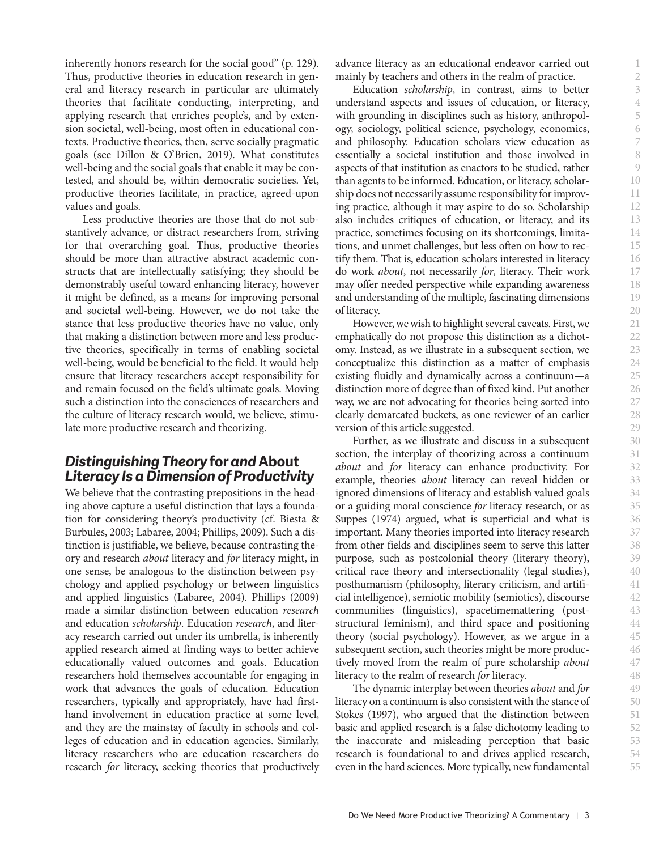inherently honors research for the social good" (p. 129). Thus, productive theories in education research in general and literacy research in particular are ultimately theories that facilitate conducting, interpreting, and applying research that enriches people's, and by extension societal, well-being, most often in educational contexts. Productive theories, then, serve socially pragmatic goals (see Dillon & O'Brien, 2019). What constitutes well-being and the social goals that enable it may be contested, and should be, within democratic societies. Yet, productive theories facilitate, in practice, agreed-upon values and goals.

Less productive theories are those that do not substantively advance, or distract researchers from, striving for that overarching goal. Thus, productive theories should be more than attractive abstract academic constructs that are intellectually satisfying; they should be demonstrably useful toward enhancing literacy, however it might be defined, as a means for improving personal and societal well-being. However, we do not take the stance that less productive theories have no value, only that making a distinction between more and less productive theories, specifically in terms of enabling societal well-being, would be beneficial to the field. It would help ensure that literacy researchers accept responsibility for and remain focused on the field's ultimate goals. Moving such a distinction into the consciences of researchers and the culture of literacy research would, we believe, stimulate more productive research and theorizing.

## *Distinguishing Theory* **for** *and* **About** *Literacy Is a Dimension of Productivity*

We believe that the contrasting prepositions in the heading above capture a useful distinction that lays a foundation for considering theory's productivity (cf. Biesta & Burbules, 2003; Labaree, 2004; Phillips, 2009). Such a distinction is justifiable, we believe, because contrasting theory and research *about* literacy and *for* literacy might, in one sense, be analogous to the distinction between psychology and applied psychology or between linguistics and applied linguistics (Labaree, 2004). Phillips (2009) made a similar distinction between education *research* and education *scholarship*. Education *research*, and literacy research carried out under its umbrella, is inherently applied research aimed at finding ways to better achieve educationally valued outcomes and goals. Education researchers hold themselves accountable for engaging in work that advances the goals of education. Education researchers, typically and appropriately, have had firsthand involvement in education practice at some level, and they are the mainstay of faculty in schools and colleges of education and in education agencies. Similarly, literacy researchers who are education researchers do research *for* literacy, seeking theories that productively advance literacy as an educational endeavor carried out mainly by teachers and others in the realm of practice.

Education *scholarship*, in contrast, aims to better understand aspects and issues of education, or literacy, with grounding in disciplines such as history, anthropology, sociology, political science, psychology, economics, and philosophy. Education scholars view education as essentially a societal institution and those involved in aspects of that institution as enactors to be studied, rather than agents to be informed. Education, or literacy, scholarship does not necessarily assume responsibility for improving practice, although it may aspire to do so. Scholarship also includes critiques of education, or literacy, and its practice, sometimes focusing on its shortcomings, limitations, and unmet challenges, but less often on how to rectify them. That is, education scholars interested in literacy do work *about*, not necessarily *for*, literacy. Their work may offer needed perspective while expanding awareness and understanding of the multiple, fascinating dimensions of literacy.

However, we wish to highlight several caveats. First, we emphatically do not propose this distinction as a dichotomy. Instead, as we illustrate in a subsequent section, we conceptualize this distinction as a matter of emphasis existing fluidly and dynamically across a continuum—a distinction more of degree than of fixed kind. Put another way, we are not advocating for theories being sorted into clearly demarcated buckets, as one reviewer of an earlier version of this article suggested.

Further, as we illustrate and discuss in a subsequent section, the interplay of theorizing across a continuum *about* and *for* literacy can enhance productivity. For example, theories *about* literacy can reveal hidden or ignored dimensions of literacy and establish valued goals or a guiding moral conscience *for* literacy research, or as Suppes (1974) argued, what is superficial and what is important. Many theories imported into literacy research from other fields and disciplines seem to serve this latter purpose, such as postcolonial theory (literary theory), critical race theory and intersectionality (legal studies), posthumanism (philosophy, literary criticism, and artificial intelligence), semiotic mobility (semiotics), discourse communities (linguistics), spacetimemattering (poststructural feminism), and third space and positioning theory (social psychology). However, as we argue in a subsequent section, such theories might be more productively moved from the realm of pure scholarship *about* literacy to the realm of research *for* literacy.

The dynamic interplay between theories *about* and *for* literacy on a continuum is also consistent with the stance of Stokes (1997), who argued that the distinction between basic and applied research is a false dichotomy leading to the inaccurate and misleading perception that basic research is foundational to and drives applied research, even in the hard sciences. More typically, new fundamental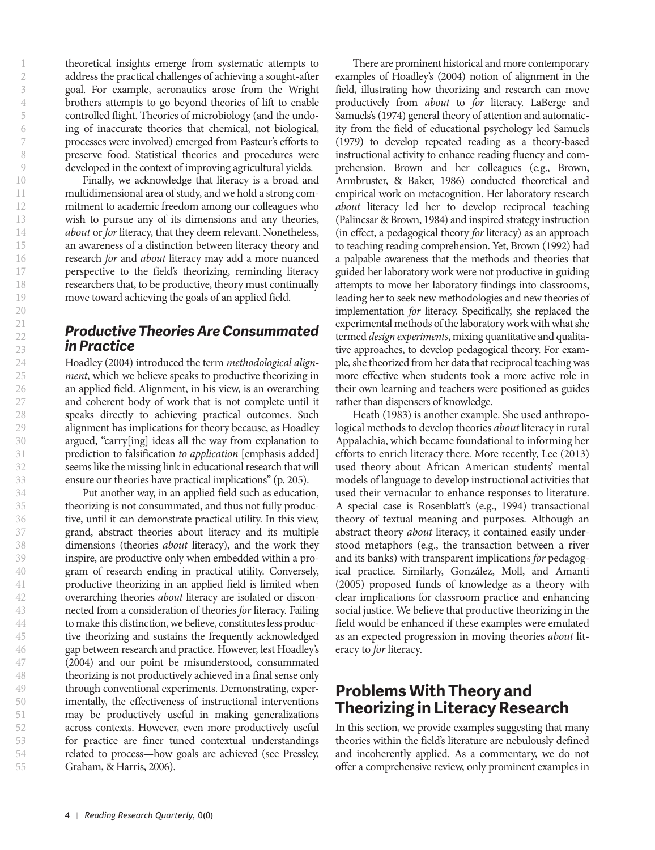theoretical insights emerge from systematic attempts to address the practical challenges of achieving a sought-after goal. For example, aeronautics arose from the Wright brothers attempts to go beyond theories of lift to enable controlled flight. Theories of microbiology (and the undoing of inaccurate theories that chemical, not biological, processes were involved) emerged from Pasteur's efforts to preserve food. Statistical theories and procedures were developed in the context of improving agricultural yields.

Finally, we acknowledge that literacy is a broad and multidimensional area of study, and we hold a strong commitment to academic freedom among our colleagues who wish to pursue any of its dimensions and any theories, *about* or *for* literacy, that they deem relevant. Nonetheless, an awareness of a distinction between literacy theory and research *for* and *about* literacy may add a more nuanced perspective to the field's theorizing, reminding literacy researchers that, to be productive, theory must continually move toward achieving the goals of an applied field.

#### *Productive Theories Are Consummated in Practice*

Hoadley (2004) introduced the term *methodological alignment*, which we believe speaks to productive theorizing in an applied field. Alignment, in his view, is an overarching and coherent body of work that is not complete until it speaks directly to achieving practical outcomes. Such alignment has implications for theory because, as Hoadley argued, "carry[ing] ideas all the way from explanation to prediction to falsification *to application* [emphasis added] seems like the missing link in educational research that will ensure our theories have practical implications" (p. 205).

Put another way, in an applied field such as education, theorizing is not consummated, and thus not fully productive, until it can demonstrate practical utility. In this view, grand, abstract theories about literacy and its multiple dimensions (theories *about* literacy), and the work they inspire, are productive only when embedded within a program of research ending in practical utility. Conversely, productive theorizing in an applied field is limited when overarching theories *about* literacy are isolated or disconnected from a consideration of theories *for* literacy. Failing to make this distinction, we believe, constitutes less productive theorizing and sustains the frequently acknowledged gap between research and practice. However, lest Hoadley's (2004) and our point be misunderstood, consummated theorizing is not productively achieved in a final sense only through conventional experiments. Demonstrating, experimentally, the effectiveness of instructional interventions may be productively useful in making generalizations across contexts. However, even more productively useful for practice are finer tuned contextual understandings related to process—how goals are achieved (see Pressley, Graham, & Harris, 2006).

There are prominent historical and more contemporary examples of Hoadley's (2004) notion of alignment in the field, illustrating how theorizing and research can move productively from *about* to *for* literacy. LaBerge and Samuels's (1974) general theory of attention and automaticity from the field of educational psychology led Samuels (1979) to develop repeated reading as a theory-based instructional activity to enhance reading fluency and comprehension. Brown and her colleagues (e.g., Brown, Armbruster, & Baker, 1986) conducted theoretical and empirical work on metacognition. Her laboratory research *about* literacy led her to develop reciprocal teaching (Palincsar & Brown, 1984) and inspired strategy instruction (in effect, a pedagogical theory *for* literacy) as an approach to teaching reading comprehension. Yet, Brown (1992) had a palpable awareness that the methods and theories that guided her laboratory work were not productive in guiding attempts to move her laboratory findings into classrooms, leading her to seek new methodologies and new theories of implementation *for* literacy. Specifically, she replaced the experimental methods of the laboratory work with what she termed *design experiments*, mixing quantitative and qualitative approaches, to develop pedagogical theory. For example, she theorized from her data that reciprocal teaching was more effective when students took a more active role in their own learning and teachers were positioned as guides rather than dispensers of knowledge.

Heath (1983) is another example. She used anthropological methods to develop theories *about* literacy in rural Appalachia, which became foundational to informing her efforts to enrich literacy there. More recently, Lee (2013) used theory about African American students' mental models of language to develop instructional activities that used their vernacular to enhance responses to literature. A special case is Rosenblatt's (e.g., 1994) transactional theory of textual meaning and purposes. Although an abstract theory *about* literacy, it contained easily understood metaphors (e.g., the transaction between a river and its banks) with transparent implications *for* pedagogical practice. Similarly, González, Moll, and Amanti (2005) proposed funds of knowledge as a theory with clear implications for classroom practice and enhancing social justice. We believe that productive theorizing in the field would be enhanced if these examples were emulated as an expected progression in moving theories *about* literacy to *for* literacy.

# **Problems With Theory and Theorizing in Literacy Research**

In this section, we provide examples suggesting that many theories within the field's literature are nebulously defined and incoherently applied. As a commentary, we do not offer a comprehensive review, only prominent examples in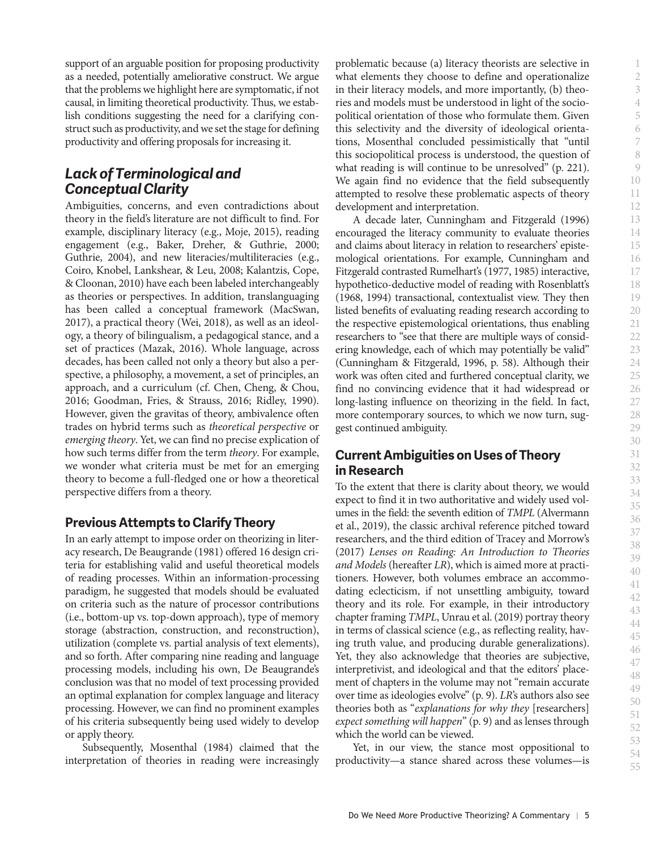support of an arguable position for proposing productivity as a needed, potentially ameliorative construct. We argue that the problems we highlight here are symptomatic, if not causal, in limiting theoretical productivity. Thus, we establish conditions suggesting the need for a clarifying construct such as productivity, and we set the stage for defining productivity and offering proposals for increasing it.

## *Lack of Terminological and Conceptual Clarity*

Ambiguities, concerns, and even contradictions about theory in the field's literature are not difficult to find. For example, disciplinary literacy (e.g., Moje, 2015), reading engagement (e.g., Baker, Dreher, & Guthrie, 2000; Guthrie, 2004), and new literacies/multiliteracies (e.g., Coiro, Knobel, Lankshear, & Leu, 2008; Kalantzis, Cope, & Cloonan, 2010) have each been labeled interchangeably as theories or perspectives. In addition, translanguaging has been called a conceptual framework (MacSwan, 2017), a practical theory (Wei, 2018), as well as an ideology, a theory of bilingualism, a pedagogical stance, and a set of practices (Mazak, 2016). Whole language, across decades, has been called not only a theory but also a perspective, a philosophy, a movement, a set of principles, an approach, and a curriculum (cf. Chen, Cheng, & Chou, 2016; Goodman, Fries, & Strauss, 2016; Ridley, 1990). However, given the gravitas of theory, ambivalence often trades on hybrid terms such as *theoretical perspective* or *emerging theory*. Yet, we can find no precise explication of how such terms differ from the term *theory*. For example, we wonder what criteria must be met for an emerging theory to become a full-fledged one or how a theoretical perspective differs from a theory.

#### **Previous Attempts to Clarify Theory**

In an early attempt to impose order on theorizing in literacy research, De Beaugrande (1981) offered 16 design criteria for establishing valid and useful theoretical models of reading processes. Within an information-processing paradigm, he suggested that models should be evaluated on criteria such as the nature of processor contributions (i.e., bottom-up vs. top-down approach), type of memory storage (abstraction, construction, and reconstruction), utilization (complete vs. partial analysis of text elements), and so forth. After comparing nine reading and language processing models, including his own, De Beaugrande's conclusion was that no model of text processing provided an optimal explanation for complex language and literacy processing. However, we can find no prominent examples of his criteria subsequently being used widely to develop or apply theory.

Subsequently, Mosenthal (1984) claimed that the interpretation of theories in reading were increasingly

problematic because (a) literacy theorists are selective in what elements they choose to define and operationalize in their literacy models, and more importantly, (b) theories and models must be understood in light of the sociopolitical orientation of those who formulate them. Given this selectivity and the diversity of ideological orientations, Mosenthal concluded pessimistically that "until this sociopolitical process is understood, the question of what reading is will continue to be unresolved" (p. 221). We again find no evidence that the field subsequently attempted to resolve these problematic aspects of theory development and interpretation.

A decade later, Cunningham and Fitzgerald (1996) encouraged the literacy community to evaluate theories and claims about literacy in relation to researchers' epistemological orientations. For example, Cunningham and Fitzgerald contrasted Rumelhart's (1977, 1985) interactive, hypothetico-deductive model of reading with Rosenblatt's (1968, 1994) transactional, contextualist view. They then listed benefits of evaluating reading research according to the respective epistemological orientations, thus enabling researchers to "see that there are multiple ways of considering knowledge, each of which may potentially be valid" (Cunningham & Fitzgerald, 1996, p. 58). Although their work was often cited and furthered conceptual clarity, we find no convincing evidence that it had widespread or long-lasting influence on theorizing in the field. In fact, more contemporary sources, to which we now turn, suggest continued ambiguity.

#### **Current Ambiguities on Uses of Theory in Research**

To the extent that there is clarity about theory, we would expect to find it in two authoritative and widely used volumes in the field: the seventh edition of *TMPL* (Alvermann et al., 2019), the classic archival reference pitched toward researchers, and the third edition of Tracey and Morrow's (2017) *Lenses on Reading: An Introduction to Theories and Models* (hereafter *LR*), which is aimed more at practitioners. However, both volumes embrace an accommodating eclecticism, if not unsettling ambiguity, toward theory and its role. For example, in their introductory chapter framing *TMPL*, Unrau et al. (2019) portray theory in terms of classical science (e.g., as reflecting reality, having truth value, and producing durable generalizations). Yet, they also acknowledge that theories are subjective, interpretivist, and ideological and that the editors' placement of chapters in the volume may not "remain accurate over time as ideologies evolve" (p. 9). *LR*'s authors also see theories both as "*explanations for why they* [researchers] *expect something will happen*" (p. 9) and as lenses through which the world can be viewed.

Yet, in our view, the stance most oppositional to productivity—a stance shared across these volumes—is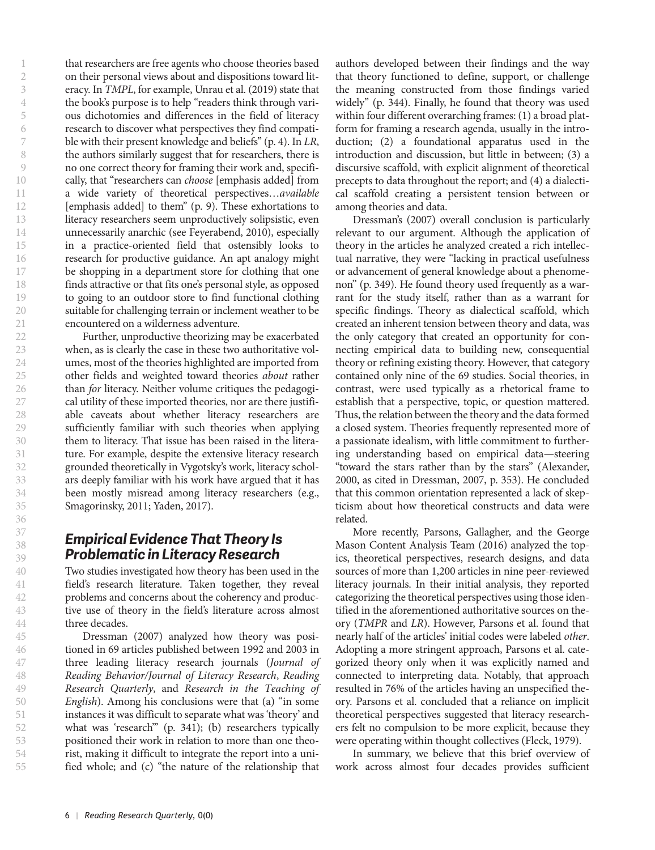that researchers are free agents who choose theories based on their personal views about and dispositions toward literacy. In *TMPL*, for example, Unrau et al. (2019) state that the book's purpose is to help "readers think through various dichotomies and differences in the field of literacy research to discover what perspectives they find compatible with their present knowledge and beliefs" (p. 4). In *LR*, the authors similarly suggest that for researchers, there is no one correct theory for framing their work and, specifically, that "researchers can *choose* [emphasis added] from a wide variety of theoretical perspectives…*available* [emphasis added] to them" (p. 9). These exhortations to literacy researchers seem unproductively solipsistic, even unnecessarily anarchic (see Feyerabend, 2010), especially in a practice-oriented field that ostensibly looks to research for productive guidance. An apt analogy might be shopping in a department store for clothing that one finds attractive or that fits one's personal style, as opposed to going to an outdoor store to find functional clothing suitable for challenging terrain or inclement weather to be encountered on a wilderness adventure.

Further, unproductive theorizing may be exacerbated when, as is clearly the case in these two authoritative volumes, most of the theories highlighted are imported from other fields and weighted toward theories *about* rather than *for* literacy. Neither volume critiques the pedagogical utility of these imported theories, nor are there justifiable caveats about whether literacy researchers are sufficiently familiar with such theories when applying them to literacy. That issue has been raised in the literature. For example, despite the extensive literacy research grounded theoretically in Vygotsky's work, literacy scholars deeply familiar with his work have argued that it has been mostly misread among literacy researchers (e.g., Smagorinsky, 2011; Yaden, 2017).

#### *Empirical Evidence That Theory Is Problematic in Literacy Research*

Two studies investigated how theory has been used in the field's research literature. Taken together, they reveal problems and concerns about the coherency and productive use of theory in the field's literature across almost three decades.

Dressman (2007) analyzed how theory was positioned in 69 articles published between 1992 and 2003 in three leading literacy research journals (*Journal of Reading Behavior/Journal of Literacy Research*, *Reading Research Quarterly*, and *Research in the Teaching of English*). Among his conclusions were that (a) "in some instances it was difficult to separate what was 'theory' and what was 'research'" (p. 341); (b) researchers typically positioned their work in relation to more than one theorist, making it difficult to integrate the report into a unified whole; and (c) "the nature of the relationship that

authors developed between their findings and the way that theory functioned to define, support, or challenge the meaning constructed from those findings varied widely" (p. 344). Finally, he found that theory was used within four different overarching frames: (1) a broad platform for framing a research agenda, usually in the introduction; (2) a foundational apparatus used in the introduction and discussion, but little in between; (3) a discursive scaffold, with explicit alignment of theoretical precepts to data throughout the report; and (4) a dialectical scaffold creating a persistent tension between or among theories and data.

Dressman's (2007) overall conclusion is particularly relevant to our argument. Although the application of theory in the articles he analyzed created a rich intellectual narrative, they were "lacking in practical usefulness or advancement of general knowledge about a phenomenon" (p. 349). He found theory used frequently as a warrant for the study itself, rather than as a warrant for specific findings. Theory as dialectical scaffold, which created an inherent tension between theory and data, was the only category that created an opportunity for connecting empirical data to building new, consequential theory or refining existing theory. However, that category contained only nine of the 69 studies. Social theories, in contrast, were used typically as a rhetorical frame to establish that a perspective, topic, or question mattered. Thus, the relation between the theory and the data formed a closed system. Theories frequently represented more of a passionate idealism, with little commitment to furthering understanding based on empirical data—steering "toward the stars rather than by the stars" (Alexander, 2000, as cited in Dressman, 2007, p. 353). He concluded that this common orientation represented a lack of skepticism about how theoretical constructs and data were related.

More recently, Parsons, Gallagher, and the George Mason Content Analysis Team (2016) analyzed the topics, theoretical perspectives, research designs, and data sources of more than 1,200 articles in nine peer-reviewed literacy journals. In their initial analysis, they reported categorizing the theoretical perspectives using those identified in the aforementioned authoritative sources on theory (*TMPR* and *LR*). However, Parsons et al. found that nearly half of the articles' initial codes were labeled *other*. Adopting a more stringent approach, Parsons et al. categorized theory only when it was explicitly named and connected to interpreting data. Notably, that approach resulted in 76% of the articles having an unspecified theory. Parsons et al. concluded that a reliance on implicit theoretical perspectives suggested that literacy researchers felt no compulsion to be more explicit, because they were operating within thought collectives (Fleck, 1979).

In summary, we believe that this brief overview of work across almost four decades provides sufficient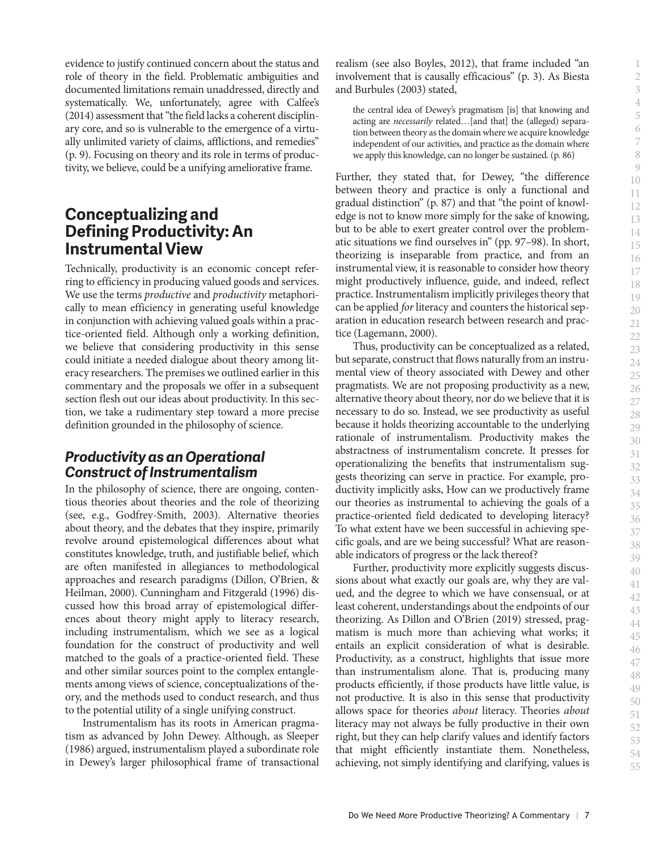evidence to justify continued concern about the status and role of theory in the field. Problematic ambiguities and documented limitations remain unaddressed, directly and systematically. We, unfortunately, agree with Calfee's (2014) assessment that "the field lacks a coherent disciplinary core, and so is vulnerable to the emergence of a virtually unlimited variety of claims, afflictions, and remedies" (p. 9). Focusing on theory and its role in terms of productivity, we believe, could be a unifying ameliorative frame.

## **Conceptualizing and Defining Productivity: An Instrumental View**

Technically, productivity is an economic concept referring to efficiency in producing valued goods and services. We use the terms *productive* and *productivity* metaphorically to mean efficiency in generating useful knowledge in conjunction with achieving valued goals within a practice-oriented field. Although only a working definition, we believe that considering productivity in this sense could initiate a needed dialogue about theory among literacy researchers. The premises we outlined earlier in this commentary and the proposals we offer in a subsequent section flesh out our ideas about productivity. In this section, we take a rudimentary step toward a more precise definition grounded in the philosophy of science.

## *Productivity as an Operational Construct of Instrumentalism*

In the philosophy of science, there are ongoing, contentious theories about theories and the role of theorizing (see, e.g., Godfrey-Smith, 2003). Alternative theories about theory, and the debates that they inspire, primarily revolve around epistemological differences about what constitutes knowledge, truth, and justifiable belief, which are often manifested in allegiances to methodological approaches and research paradigms (Dillon, O'Brien, & Heilman, 2000). Cunningham and Fitzgerald (1996) discussed how this broad array of epistemological differences about theory might apply to literacy research, including instrumentalism, which we see as a logical foundation for the construct of productivity and well matched to the goals of a practice-oriented field. These and other similar sources point to the complex entanglements among views of science, conceptualizations of theory, and the methods used to conduct research, and thus to the potential utility of a single unifying construct.

Instrumentalism has its roots in American pragmatism as advanced by John Dewey. Although, as Sleeper (1986) argued, instrumentalism played a subordinate role in Dewey's larger philosophical frame of transactional

realism (see also Boyles, 2012), that frame included "an involvement that is causally efficacious" (p. 3). As Biesta and Burbules (2003) stated,

the central idea of Dewey's pragmatism [is] that knowing and acting are *necessarily* related…[and that] the (alleged) separation between theory as the domain where we acquire knowledge independent of our activities, and practice as the domain where we apply this knowledge, can no longer be sustained. (p. 86)

Further, they stated that, for Dewey, "the difference between theory and practice is only a functional and gradual distinction" (p. 87) and that "the point of knowledge is not to know more simply for the sake of knowing, but to be able to exert greater control over the problematic situations we find ourselves in" (pp. 97–98). In short, theorizing is inseparable from practice, and from an instrumental view, it is reasonable to consider how theory might productively influence, guide, and indeed, reflect practice. Instrumentalism implicitly privileges theory that can be applied *for* literacy and counters the historical separation in education research between research and practice (Lagemann, 2000).

Thus, productivity can be conceptualized as a related, but separate, construct that flows naturally from an instrumental view of theory associated with Dewey and other pragmatists. We are not proposing productivity as a new, alternative theory about theory, nor do we believe that it is necessary to do so. Instead, we see productivity as useful because it holds theorizing accountable to the underlying rationale of instrumentalism. Productivity makes the abstractness of instrumentalism concrete. It presses for operationalizing the benefits that instrumentalism suggests theorizing can serve in practice. For example, productivity implicitly asks, How can we productively frame our theories as instrumental to achieving the goals of a practice-oriented field dedicated to developing literacy? To what extent have we been successful in achieving specific goals, and are we being successful? What are reasonable indicators of progress or the lack thereof?

Further, productivity more explicitly suggests discussions about what exactly our goals are, why they are valued, and the degree to which we have consensual, or at least coherent, understandings about the endpoints of our theorizing. As Dillon and O'Brien (2019) stressed, pragmatism is much more than achieving what works; it entails an explicit consideration of what is desirable. Productivity, as a construct, highlights that issue more than instrumentalism alone. That is, producing many products efficiently, if those products have little value, is not productive. It is also in this sense that productivity allows space for theories *about* literacy. Theories *about* literacy may not always be fully productive in their own right, but they can help clarify values and identify factors that might efficiently instantiate them. Nonetheless, achieving, not simply identifying and clarifying, values is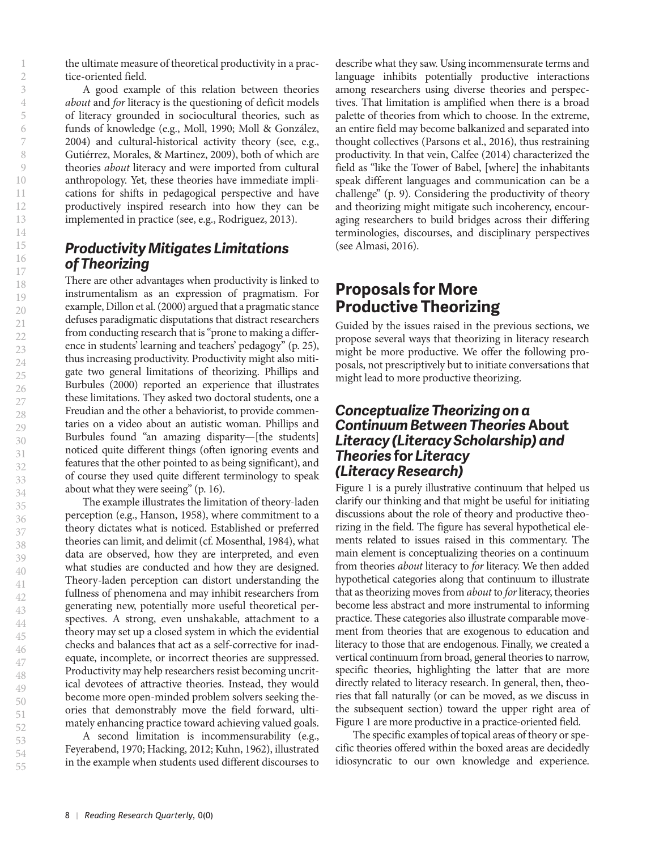the ultimate measure of theoretical productivity in a practice-oriented field.

A good example of this relation between theories *about* and *for* literacy is the questioning of deficit models of literacy grounded in sociocultural theories, such as funds of knowledge (e.g., Moll, 1990; Moll & González, 2004) and cultural-historical activity theory (see, e.g., Gutiérrez, Morales, & Martinez, 2009), both of which are theories *about* literacy and were imported from cultural anthropology. Yet, these theories have immediate implications for shifts in pedagogical perspective and have productively inspired research into how they can be implemented in practice (see, e.g., Rodriguez, 2013).

#### *Productivity Mitigates Limitations of Theorizing*

There are other advantages when productivity is linked to instrumentalism as an expression of pragmatism. For example, Dillon et al. (2000) argued that a pragmatic stance defuses paradigmatic disputations that distract researchers from conducting research that is "prone to making a difference in students' learning and teachers' pedagogy" (p. 25), thus increasing productivity. Productivity might also mitigate two general limitations of theorizing. Phillips and Burbules (2000) reported an experience that illustrates these limitations. They asked two doctoral students, one a Freudian and the other a behaviorist, to provide commentaries on a video about an autistic woman. Phillips and Burbules found "an amazing disparity—[the students] noticed quite different things (often ignoring events and features that the other pointed to as being significant), and of course they used quite different terminology to speak about what they were seeing" (p. 16).

The example illustrates the limitation of theory-laden perception (e.g., Hanson, 1958), where commitment to a theory dictates what is noticed. Established or preferred theories can limit, and delimit (cf. Mosenthal, 1984), what data are observed, how they are interpreted, and even what studies are conducted and how they are designed. Theory-laden perception can distort understanding the fullness of phenomena and may inhibit researchers from generating new, potentially more useful theoretical perspectives. A strong, even unshakable, attachment to a theory may set up a closed system in which the evidential checks and balances that act as a self-corrective for inadequate, incomplete, or incorrect theories are suppressed. Productivity may help researchers resist becoming uncritical devotees of attractive theories. Instead, they would become more open-minded problem solvers seeking theories that demonstrably move the field forward, ultimately enhancing practice toward achieving valued goals.

A second limitation is incommensurability (e.g., Feyerabend, 1970; Hacking, 2012; Kuhn, 1962), illustrated in the example when students used different discourses to

describe what they saw. Using incommensurate terms and language inhibits potentially productive interactions among researchers using diverse theories and perspectives. That limitation is amplified when there is a broad palette of theories from which to choose. In the extreme, an entire field may become balkanized and separated into thought collectives (Parsons et al., 2016), thus restraining productivity. In that vein, Calfee (2014) characterized the field as "like the Tower of Babel, [where] the inhabitants speak different languages and communication can be a challenge" (p. 9). Considering the productivity of theory and theorizing might mitigate such incoherency, encouraging researchers to build bridges across their differing terminologies, discourses, and disciplinary perspectives (see Almasi, 2016).

# **Proposals for More Productive Theorizing**

Guided by the issues raised in the previous sections, we propose several ways that theorizing in literacy research might be more productive. We offer the following proposals, not prescriptively but to initiate conversations that might lead to more productive theorizing.

#### *Conceptualize Theorizing on a Continuum Between Theories* **About** *Literacy (Literacy Scholarship) and Theories* **for** *Literacy (Literacy Research)*

Figure 1 is a purely illustrative continuum that helped us clarify our thinking and that might be useful for initiating discussions about the role of theory and productive theorizing in the field. The figure has several hypothetical elements related to issues raised in this commentary. The main element is conceptualizing theories on a continuum from theories *about* literacy to *for* literacy. We then added hypothetical categories along that continuum to illustrate that as theorizing moves from *about* to *for* literacy, theories become less abstract and more instrumental to informing practice. These categories also illustrate comparable movement from theories that are exogenous to education and literacy to those that are endogenous. Finally, we created a vertical continuum from broad, general theories to narrow, specific theories, highlighting the latter that are more directly related to literacy research. In general, then, theories that fall naturally (or can be moved, as we discuss in the subsequent section) toward the upper right area of Figure 1 are more productive in a practice-oriented field.

The specific examples of topical areas of theory or specific theories offered within the boxed areas are decidedly idiosyncratic to our own knowledge and experience.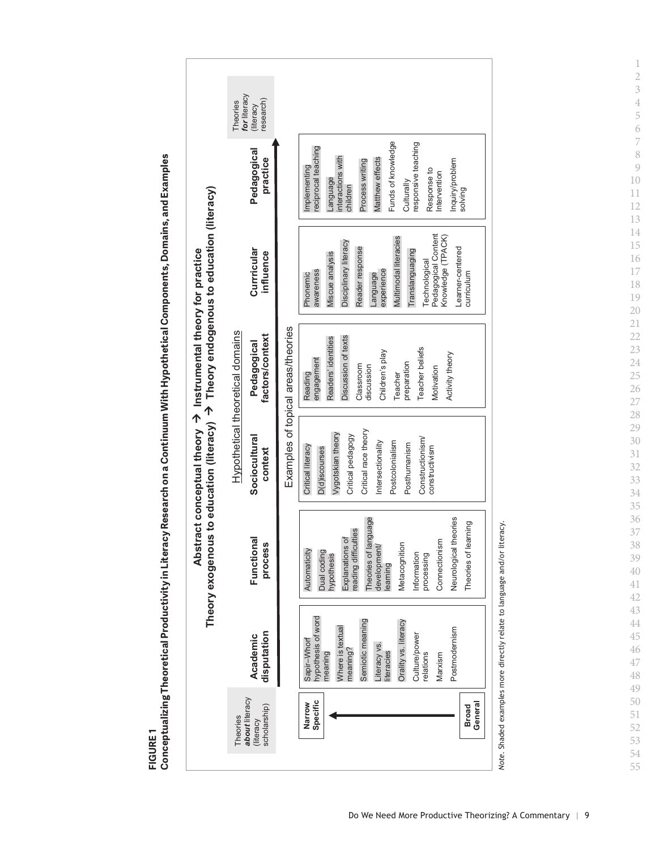FIGURE1 **FIGURE 1**





*Note*. Shaded examples more directly relate to language and/or literacy. Note. Shaded examples more directly relate to language and/or literacy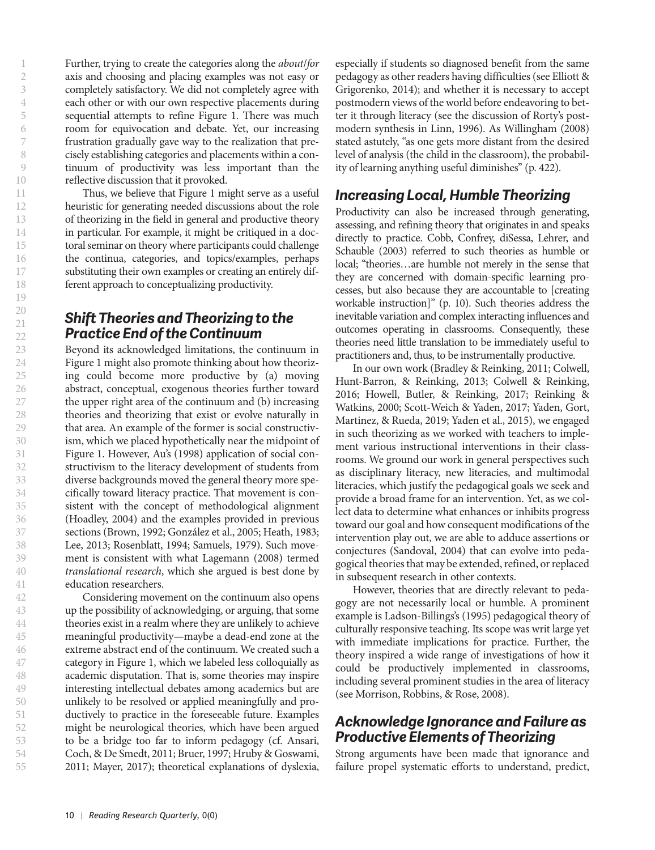55

Further, trying to create the categories along the *about*/*for* axis and choosing and placing examples was not easy or completely satisfactory. We did not completely agree with each other or with our own respective placements during sequential attempts to refine Figure 1. There was much room for equivocation and debate. Yet, our increasing frustration gradually gave way to the realization that precisely establishing categories and placements within a continuum of productivity was less important than the reflective discussion that it provoked.

Thus, we believe that Figure 1 might serve as a useful heuristic for generating needed discussions about the role of theorizing in the field in general and productive theory in particular. For example, it might be critiqued in a doctoral seminar on theory where participants could challenge the continua, categories, and topics/examples, perhaps substituting their own examples or creating an entirely different approach to conceptualizing productivity.

## *Shift Theories and Theorizing to the Practice End of the Continuum*

Beyond its acknowledged limitations, the continuum in Figure 1 might also promote thinking about how theorizing could become more productive by (a) moving abstract, conceptual, exogenous theories further toward the upper right area of the continuum and (b) increasing theories and theorizing that exist or evolve naturally in that area. An example of the former is social constructivism, which we placed hypothetically near the midpoint of Figure 1. However, Au's (1998) application of social constructivism to the literacy development of students from diverse backgrounds moved the general theory more specifically toward literacy practice. That movement is consistent with the concept of methodological alignment (Hoadley, 2004) and the examples provided in previous sections (Brown, 1992; González et al., 2005; Heath, 1983; Lee, 2013; Rosenblatt, 1994; Samuels, 1979). Such movement is consistent with what Lagemann (2008) termed *translational research*, which she argued is best done by education researchers.

Considering movement on the continuum also opens up the possibility of acknowledging, or arguing, that some theories exist in a realm where they are unlikely to achieve meaningful productivity—maybe a dead-end zone at the extreme abstract end of the continuum. We created such a category in Figure 1, which we labeled less colloquially as academic disputation. That is, some theories may inspire interesting intellectual debates among academics but are unlikely to be resolved or applied meaningfully and productively to practice in the foreseeable future. Examples might be neurological theories, which have been argued to be a bridge too far to inform pedagogy (cf. Ansari, Coch, & De Smedt, 2011; Bruer, 1997; Hruby & Goswami, 2011; Mayer, 2017); theoretical explanations of dyslexia,

especially if students so diagnosed benefit from the same pedagogy as other readers having difficulties (see Elliott & Grigorenko, 2014); and whether it is necessary to accept postmodern views of the world before endeavoring to better it through literacy (see the discussion of Rorty's postmodern synthesis in Linn, 1996). As Willingham (2008) stated astutely, "as one gets more distant from the desired level of analysis (the child in the classroom), the probability of learning anything useful diminishes" (p. 422).

## *Increasing Local, Humble Theorizing*

Productivity can also be increased through generating, assessing, and refining theory that originates in and speaks directly to practice. Cobb, Confrey, diSessa, Lehrer, and Schauble (2003) referred to such theories as humble or local; "theories…are humble not merely in the sense that they are concerned with domain-specific learning processes, but also because they are accountable to [creating workable instruction]" (p. 10). Such theories address the inevitable variation and complex interacting influences and outcomes operating in classrooms. Consequently, these theories need little translation to be immediately useful to practitioners and, thus, to be instrumentally productive.

In our own work (Bradley & Reinking, 2011; Colwell, Hunt-Barron, & Reinking, 2013; Colwell & Reinking, 2016; Howell, Butler, & Reinking, 2017; Reinking & Watkins, 2000; Scott-Weich & Yaden, 2017; Yaden, Gort, Martinez, & Rueda, 2019; Yaden et al., 2015), we engaged in such theorizing as we worked with teachers to implement various instructional interventions in their classrooms. We ground our work in general perspectives such as disciplinary literacy, new literacies, and multimodal literacies, which justify the pedagogical goals we seek and provide a broad frame for an intervention. Yet, as we collect data to determine what enhances or inhibits progress toward our goal and how consequent modifications of the intervention play out, we are able to adduce assertions or conjectures (Sandoval, 2004) that can evolve into pedagogical theories that may be extended, refined, or replaced in subsequent research in other contexts.

However, theories that are directly relevant to pedagogy are not necessarily local or humble. A prominent example is Ladson-Billings's (1995) pedagogical theory of culturally responsive teaching. Its scope was writ large yet with immediate implications for practice. Further, the theory inspired a wide range of investigations of how it could be productively implemented in classrooms, including several prominent studies in the area of literacy (see Morrison, Robbins, & Rose, 2008).

## *Acknowledge Ignorance and Failure as Productive Elements of Theorizing*

Strong arguments have been made that ignorance and failure propel systematic efforts to understand, predict,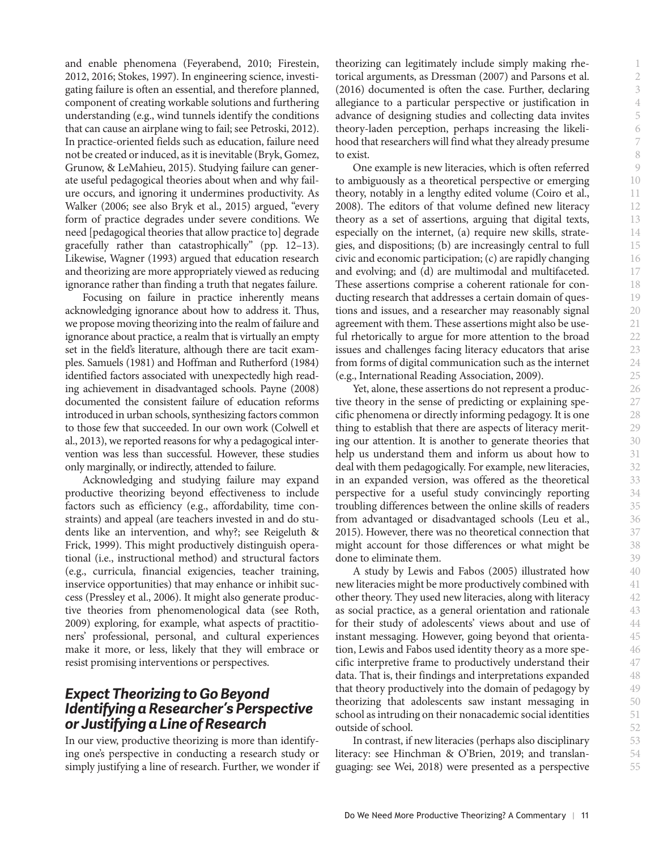and enable phenomena (Feyerabend, 2010; Firestein, 2012, 2016; Stokes, 1997). In engineering science, investigating failure is often an essential, and therefore planned, component of creating workable solutions and furthering understanding (e.g., wind tunnels identify the conditions that can cause an airplane wing to fail; see Petroski, 2012). In practice-oriented fields such as education, failure need not be created or induced, as it is inevitable (Bryk, Gomez, Grunow, & LeMahieu, 2015). Studying failure can generate useful pedagogical theories about when and why failure occurs, and ignoring it undermines productivity. As Walker (2006; see also Bryk et al., 2015) argued, "every form of practice degrades under severe conditions. We need [pedagogical theories that allow practice to] degrade gracefully rather than catastrophically" (pp. 12–13). Likewise, Wagner (1993) argued that education research and theorizing are more appropriately viewed as reducing ignorance rather than finding a truth that negates failure.

Focusing on failure in practice inherently means acknowledging ignorance about how to address it. Thus, we propose moving theorizing into the realm of failure and ignorance about practice, a realm that is virtually an empty set in the field's literature, although there are tacit examples. Samuels (1981) and Hoffman and Rutherford (1984) identified factors associated with unexpectedly high reading achievement in disadvantaged schools. Payne (2008) documented the consistent failure of education reforms introduced in urban schools, synthesizing factors common to those few that succeeded. In our own work (Colwell et al., 2013), we reported reasons for why a pedagogical intervention was less than successful. However, these studies only marginally, or indirectly, attended to failure.

Acknowledging and studying failure may expand productive theorizing beyond effectiveness to include factors such as efficiency (e.g., affordability, time constraints) and appeal (are teachers invested in and do students like an intervention, and why?; see Reigeluth & Frick, 1999). This might productively distinguish operational (i.e., instructional method) and structural factors (e.g., curricula, financial exigencies, teacher training, inservice opportunities) that may enhance or inhibit success (Pressley et al., 2006). It might also generate productive theories from phenomenological data (see Roth, 2009) exploring, for example, what aspects of practitioners' professional, personal, and cultural experiences make it more, or less, likely that they will embrace or resist promising interventions or perspectives.

#### *Expect Theorizing to Go Beyond Identifying a Researcher's Perspective or Justifying a Line of Research*

In our view, productive theorizing is more than identifying one's perspective in conducting a research study or simply justifying a line of research. Further, we wonder if

theorizing can legitimately include simply making rhetorical arguments, as Dressman (2007) and Parsons et al. (2016) documented is often the case. Further, declaring allegiance to a particular perspective or justification in advance of designing studies and collecting data invites theory-laden perception, perhaps increasing the likelihood that researchers will find what they already presume to exist.

One example is new literacies, which is often referred to ambiguously as a theoretical perspective or emerging theory, notably in a lengthy edited volume (Coiro et al., 2008). The editors of that volume defined new literacy theory as a set of assertions, arguing that digital texts, especially on the internet, (a) require new skills, strategies, and dispositions; (b) are increasingly central to full civic and economic participation; (c) are rapidly changing and evolving; and (d) are multimodal and multifaceted. These assertions comprise a coherent rationale for conducting research that addresses a certain domain of questions and issues, and a researcher may reasonably signal agreement with them. These assertions might also be useful rhetorically to argue for more attention to the broad issues and challenges facing literacy educators that arise from forms of digital communication such as the internet (e.g., International Reading Association, 2009).

Yet, alone, these assertions do not represent a productive theory in the sense of predicting or explaining specific phenomena or directly informing pedagogy. It is one thing to establish that there are aspects of literacy meriting our attention. It is another to generate theories that help us understand them and inform us about how to deal with them pedagogically. For example, new literacies, in an expanded version, was offered as the theoretical perspective for a useful study convincingly reporting troubling differences between the online skills of readers from advantaged or disadvantaged schools (Leu et al., 2015). However, there was no theoretical connection that might account for those differences or what might be done to eliminate them.

A study by Lewis and Fabos (2005) illustrated how new literacies might be more productively combined with other theory. They used new literacies, along with literacy as social practice, as a general orientation and rationale for their study of adolescents' views about and use of instant messaging. However, going beyond that orientation, Lewis and Fabos used identity theory as a more specific interpretive frame to productively understand their data. That is, their findings and interpretations expanded that theory productively into the domain of pedagogy by theorizing that adolescents saw instant messaging in school as intruding on their nonacademic social identities outside of school.

In contrast, if new literacies (perhaps also disciplinary literacy: see Hinchman & O'Brien, 2019; and translanguaging: see Wei, 2018) were presented as a perspective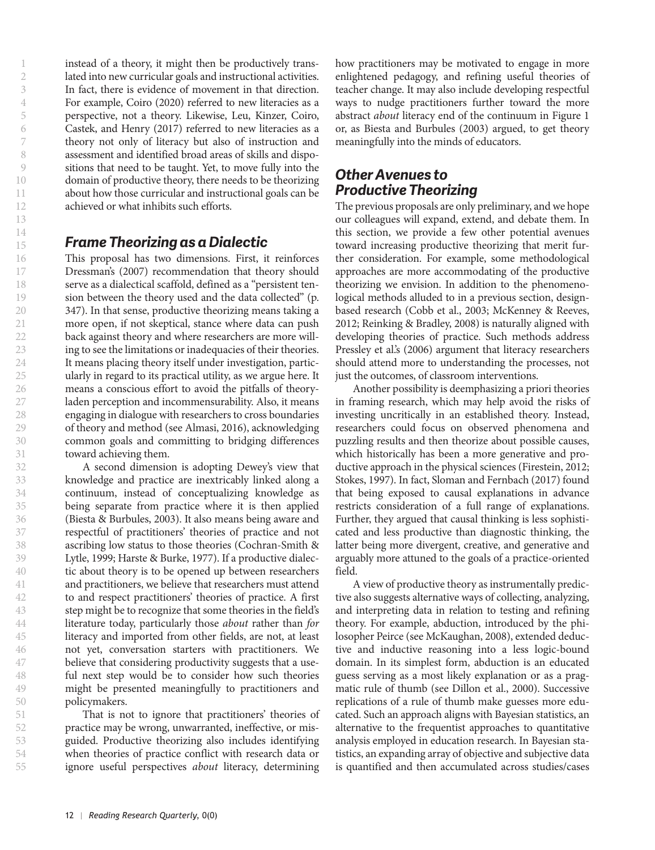instead of a theory, it might then be productively translated into new curricular goals and instructional activities. In fact, there is evidence of movement in that direction. For example, Coiro (2020) referred to new literacies as a perspective, not a theory. Likewise, Leu, Kinzer, Coiro, Castek, and Henry (2017) referred to new literacies as a theory not only of literacy but also of instruction and assessment and identified broad areas of skills and dispositions that need to be taught. Yet, to move fully into the domain of productive theory, there needs to be theorizing about how those curricular and instructional goals can be achieved or what inhibits such efforts.

#### *Frame Theorizing as a Dialectic*

This proposal has two dimensions. First, it reinforces Dressman's (2007) recommendation that theory should serve as a dialectical scaffold, defined as a "persistent tension between the theory used and the data collected" (p. 347). In that sense, productive theorizing means taking a more open, if not skeptical, stance where data can push back against theory and where researchers are more willing to see the limitations or inadequacies of their theories. It means placing theory itself under investigation, particularly in regard to its practical utility, as we argue here. It means a conscious effort to avoid the pitfalls of theoryladen perception and incommensurability. Also, it means engaging in dialogue with researchers to cross boundaries of theory and method (see Almasi, 2016), acknowledging common goals and committing to bridging differences toward achieving them.

A second dimension is adopting Dewey's view that knowledge and practice are inextricably linked along a continuum, instead of conceptualizing knowledge as being separate from practice where it is then applied (Biesta & Burbules, 2003). It also means being aware and respectful of practitioners' theories of practice and not ascribing low status to those theories (Cochran-Smith & Lytle, 1999; Harste & Burke, 1977). If a productive dialectic about theory is to be opened up between researchers and practitioners, we believe that researchers must attend to and respect practitioners' theories of practice. A first step might be to recognize that some theories in the field's literature today, particularly those *about* rather than *for* literacy and imported from other fields, are not, at least not yet, conversation starters with practitioners. We believe that considering productivity suggests that a useful next step would be to consider how such theories might be presented meaningfully to practitioners and policymakers.

That is not to ignore that practitioners' theories of practice may be wrong, unwarranted, ineffective, or misguided. Productive theorizing also includes identifying when theories of practice conflict with research data or ignore useful perspectives *about* literacy, determining

how practitioners may be motivated to engage in more enlightened pedagogy, and refining useful theories of teacher change. It may also include developing respectful ways to nudge practitioners further toward the more abstract *about* literacy end of the continuum in Figure 1 or, as Biesta and Burbules (2003) argued, to get theory meaningfully into the minds of educators.

## *Other Avenues to Productive Theorizing*

The previous proposals are only preliminary, and we hope our colleagues will expand, extend, and debate them. In this section, we provide a few other potential avenues toward increasing productive theorizing that merit further consideration. For example, some methodological approaches are more accommodating of the productive theorizing we envision. In addition to the phenomenological methods alluded to in a previous section, designbased research (Cobb et al., 2003; McKenney & Reeves, 2012; Reinking & Bradley, 2008) is naturally aligned with developing theories of practice. Such methods address Pressley et al.'s (2006) argument that literacy researchers should attend more to understanding the processes, not just the outcomes, of classroom interventions.

Another possibility is deemphasizing a priori theories in framing research, which may help avoid the risks of investing uncritically in an established theory. Instead, researchers could focus on observed phenomena and puzzling results and then theorize about possible causes, which historically has been a more generative and productive approach in the physical sciences (Firestein, 2012; Stokes, 1997). In fact, Sloman and Fernbach (2017) found that being exposed to causal explanations in advance restricts consideration of a full range of explanations. Further, they argued that causal thinking is less sophisticated and less productive than diagnostic thinking, the latter being more divergent, creative, and generative and arguably more attuned to the goals of a practice-oriented field.

A view of productive theory as instrumentally predictive also suggests alternative ways of collecting, analyzing, and interpreting data in relation to testing and refining theory. For example, abduction, introduced by the philosopher Peirce (see McKaughan, 2008), extended deductive and inductive reasoning into a less logic-bound domain. In its simplest form, abduction is an educated guess serving as a most likely explanation or as a pragmatic rule of thumb (see Dillon et al., 2000). Successive replications of a rule of thumb make guesses more educated. Such an approach aligns with Bayesian statistics, an alternative to the frequentist approaches to quantitative analysis employed in education research. In Bayesian statistics, an expanding array of objective and subjective data is quantified and then accumulated across studies/cases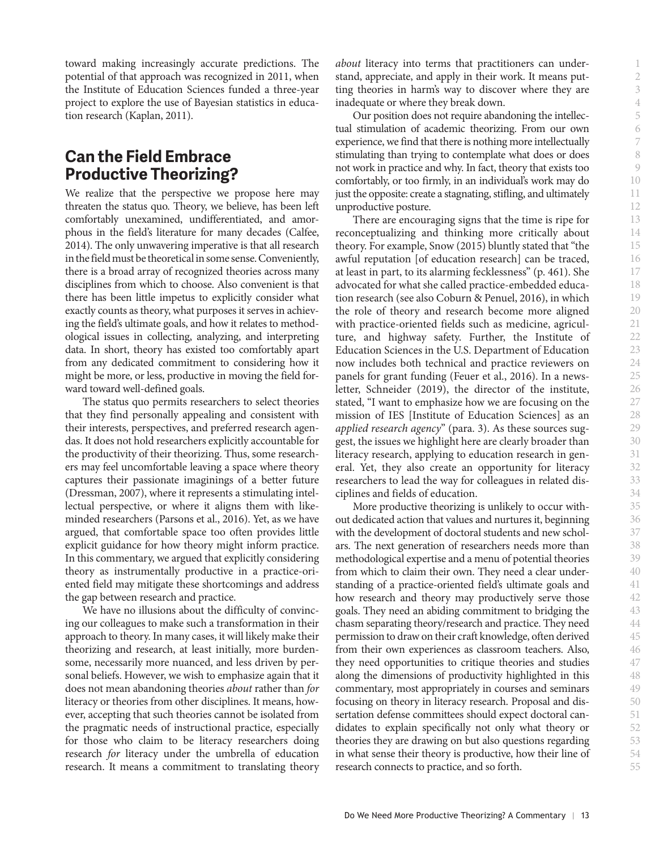toward making increasingly accurate predictions. The potential of that approach was recognized in 2011, when the Institute of Education Sciences funded a three-year project to explore the use of Bayesian statistics in education research (Kaplan, 2011).

## **Can the Field Embrace Productive Theorizing?**

We realize that the perspective we propose here may threaten the status quo. Theory, we believe, has been left comfortably unexamined, undifferentiated, and amorphous in the field's literature for many decades (Calfee, 2014). The only unwavering imperative is that all research in the field must be theoretical in some sense. Conveniently, there is a broad array of recognized theories across many disciplines from which to choose. Also convenient is that there has been little impetus to explicitly consider what exactly counts as theory, what purposes it serves in achieving the field's ultimate goals, and how it relates to methodological issues in collecting, analyzing, and interpreting data. In short, theory has existed too comfortably apart from any dedicated commitment to considering how it might be more, or less, productive in moving the field forward toward well-defined goals.

The status quo permits researchers to select theories that they find personally appealing and consistent with their interests, perspectives, and preferred research agendas. It does not hold researchers explicitly accountable for the productivity of their theorizing. Thus, some researchers may feel uncomfortable leaving a space where theory captures their passionate imaginings of a better future (Dressman, 2007), where it represents a stimulating intellectual perspective, or where it aligns them with likeminded researchers (Parsons et al., 2016). Yet, as we have argued, that comfortable space too often provides little explicit guidance for how theory might inform practice. In this commentary, we argued that explicitly considering theory as instrumentally productive in a practice-oriented field may mitigate these shortcomings and address the gap between research and practice.

We have no illusions about the difficulty of convincing our colleagues to make such a transformation in their approach to theory. In many cases, it will likely make their theorizing and research, at least initially, more burdensome, necessarily more nuanced, and less driven by personal beliefs. However, we wish to emphasize again that it does not mean abandoning theories *about* rather than *for* literacy or theories from other disciplines. It means, however, accepting that such theories cannot be isolated from the pragmatic needs of instructional practice, especially for those who claim to be literacy researchers doing research *for* literacy under the umbrella of education research. It means a commitment to translating theory

*about* literacy into terms that practitioners can understand, appreciate, and apply in their work. It means putting theories in harm's way to discover where they are inadequate or where they break down.

Our position does not require abandoning the intellectual stimulation of academic theorizing. From our own experience, we find that there is nothing more intellectually stimulating than trying to contemplate what does or does not work in practice and why. In fact, theory that exists too comfortably, or too firmly, in an individual's work may do just the opposite: create a stagnating, stifling, and ultimately unproductive posture.

There are encouraging signs that the time is ripe for reconceptualizing and thinking more critically about theory. For example, Snow (2015) bluntly stated that "the awful reputation [of education research] can be traced, at least in part, to its alarming fecklessness" (p. 461). She advocated for what she called practice-embedded education research (see also Coburn & Penuel, 2016), in which the role of theory and research become more aligned with practice-oriented fields such as medicine, agriculture, and highway safety. Further, the Institute of Education Sciences in the U.S. Department of Education now includes both technical and practice reviewers on panels for grant funding (Feuer et al., 2016). In a newsletter, Schneider (2019), the director of the institute, stated, "I want to emphasize how we are focusing on the mission of IES [Institute of Education Sciences] as an *applied research agency*" (para. 3). As these sources suggest, the issues we highlight here are clearly broader than literacy research, applying to education research in general. Yet, they also create an opportunity for literacy researchers to lead the way for colleagues in related disciplines and fields of education.

More productive theorizing is unlikely to occur without dedicated action that values and nurtures it, beginning with the development of doctoral students and new scholars. The next generation of researchers needs more than methodological expertise and a menu of potential theories from which to claim their own. They need a clear understanding of a practice-oriented field's ultimate goals and how research and theory may productively serve those goals. They need an abiding commitment to bridging the chasm separating theory/research and practice. They need permission to draw on their craft knowledge, often derived from their own experiences as classroom teachers. Also, they need opportunities to critique theories and studies along the dimensions of productivity highlighted in this commentary, most appropriately in courses and seminars focusing on theory in literacy research. Proposal and dissertation defense committees should expect doctoral candidates to explain specifically not only what theory or theories they are drawing on but also questions regarding in what sense their theory is productive, how their line of research connects to practice, and so forth.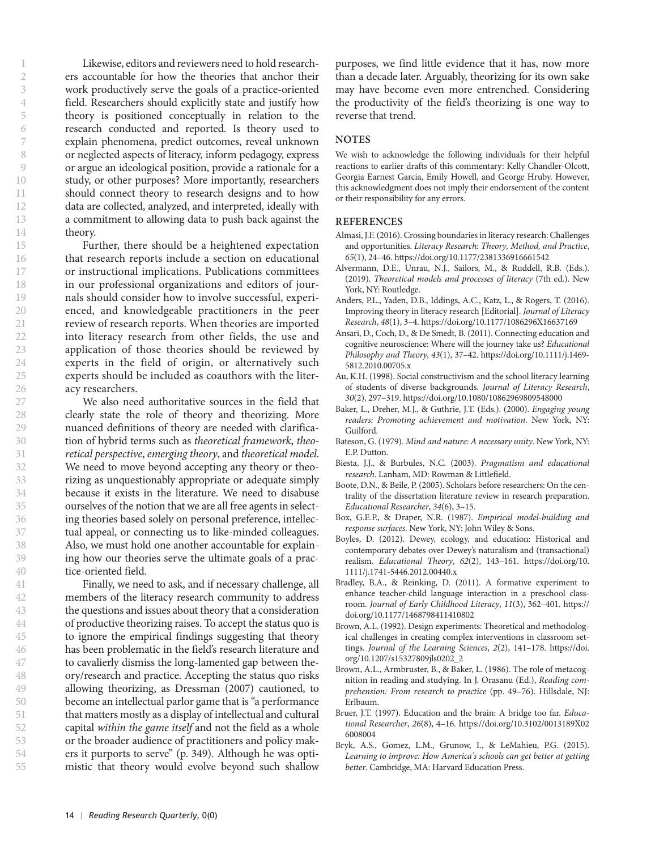Likewise, editors and reviewers need to hold researchers accountable for how the theories that anchor their work productively serve the goals of a practice-oriented field. Researchers should explicitly state and justify how theory is positioned conceptually in relation to the research conducted and reported. Is theory used to explain phenomena, predict outcomes, reveal unknown or neglected aspects of literacy, inform pedagogy, express or argue an ideological position, provide a rationale for a study, or other purposes? More importantly, researchers should connect theory to research designs and to how data are collected, analyzed, and interpreted, ideally with a commitment to allowing data to push back against the theory.

Further, there should be a heightened expectation that research reports include a section on educational or instructional implications. Publications committees in our professional organizations and editors of journals should consider how to involve successful, experienced, and knowledgeable practitioners in the peer review of research reports. When theories are imported into literacy research from other fields, the use and application of those theories should be reviewed by experts in the field of origin, or alternatively such experts should be included as coauthors with the literacy researchers.

We also need authoritative sources in the field that clearly state the role of theory and theorizing. More nuanced definitions of theory are needed with clarification of hybrid terms such as *theoretical framework*, *theoretical perspective*, *emerging theory*, and *theoretical model*. We need to move beyond accepting any theory or theorizing as unquestionably appropriate or adequate simply because it exists in the literature. We need to disabuse ourselves of the notion that we are all free agents in selecting theories based solely on personal preference, intellectual appeal, or connecting us to like-minded colleagues. Also, we must hold one another accountable for explaining how our theories serve the ultimate goals of a practice-oriented field.

Finally, we need to ask, and if necessary challenge, all members of the literacy research community to address the questions and issues about theory that a consideration of productive theorizing raises. To accept the status quo is to ignore the empirical findings suggesting that theory has been problematic in the field's research literature and to cavalierly dismiss the long-lamented gap between theory/research and practice. Accepting the status quo risks allowing theorizing, as Dressman (2007) cautioned, to become an intellectual parlor game that is "a performance that matters mostly as a display of intellectual and cultural capital *within the game itself* and not the field as a whole or the broader audience of practitioners and policy makers it purports to serve" (p. 349). Although he was optimistic that theory would evolve beyond such shallow

purposes, we find little evidence that it has, now more than a decade later. Arguably, theorizing for its own sake may have become even more entrenched. Considering the productivity of the field's theorizing is one way to reverse that trend.

#### **NOTES**

We wish to acknowledge the following individuals for their helpful reactions to earlier drafts of this commentary: Kelly Chandler-Olcott, Georgia Earnest Garcia, Emily Howell, and George Hruby. However, this acknowledgment does not imply their endorsement of the content or their responsibility for any errors.

#### **REFERENCES**

- Almasi, J.F. (2016). Crossing boundaries in literacy research: Challenges and opportunities. *Literacy Research: Theory, Method, and Practice*, *65*(1), 24–46.<https://doi.org/10.1177/2381336916661542>
- Alvermann, D.E., Unrau, N.J., Sailors, M., & Ruddell, R.B. (Eds.). (2019). *Theoretical models and processes of literacy* (7th ed.). New York, NY: Routledge.
- Anders, P.L., Yaden, D.B., Iddings, A.C., Katz, L., & Rogers, T. (2016). Improving theory in literacy research [Editorial]. *Journal of Literacy Research*, *48*(1), 3–4.<https://doi.org/10.1177/1086296X16637169>
- Ansari, D., Coch, D., & De Smedt, B. (2011). Connecting education and cognitive neuroscience: Where will the journey take us? *Educational Philosophy and Theory*, *43*(1), 37–42. [https://doi.org/10.1111/j.1469-](https://doi.org/10.1111/j.1469-5812.2010.00705.x) [5812.2010.00705.x](https://doi.org/10.1111/j.1469-5812.2010.00705.x)
- Au, K.H. (1998). Social constructivism and the school literacy learning of students of diverse backgrounds. *Journal of Literacy Research*, *30*(2), 297–319.<https://doi.org/10.1080/10862969809548000>
- Baker, L., Dreher, M.J., & Guthrie, J.T. (Eds.). (2000). *Engaging young readers: Promoting achievement and motivation*. New York, NY: Guilford.
- Bateson, G. (1979). *Mind and nature: A necessary unity*. New York, NY: E.P. Dutton.
- Biesta, J.J., & Burbules, N.C. (2003). *Pragmatism and educational research*. Lanham, MD: Rowman & Littlefield.
- Boote, D.N., & Beile, P. (2005). Scholars before researchers: On the centrality of the dissertation literature review in research preparation. *Educational Researcher*, *34*(6), 3–15.
- Box, G.E.P., & Draper, N.R. (1987). *Empirical model-building and response surfaces*. New York, NY: John Wiley & Sons.
- Boyles, D. (2012). Dewey, ecology, and education: Historical and contemporary debates over Dewey's naturalism and (transactional) realism. *Educational Theory*, *62*(2), 143–161. [https://doi.org/10.](https://doi.org/10.1111/j.1741-5446.2012.00440.x) [1111/j.1741-5446.2012.00440.x](https://doi.org/10.1111/j.1741-5446.2012.00440.x)
- Bradley, B.A., & Reinking, D. (2011). A formative experiment to enhance teacher-child language interaction in a preschool classroom. *Journal of Early Childhood Literacy*, *11*(3), 362–401. [https://](https://doi.org/10.1177/1468798411410802) [doi.org/10.1177/1468798411410802](https://doi.org/10.1177/1468798411410802)
- Brown, A.L. (1992). Design experiments: Theoretical and methodological challenges in creating complex interventions in classroom settings. *Journal of the Learning Sciences*, *2*(2), 141–178. [https://doi.](https://doi.org/10.1207/s15327809jls0202_2) [org/10.1207/s15327809jls0202\\_2](https://doi.org/10.1207/s15327809jls0202_2)
- Brown, A.L., Armbruster, B., & Baker, L. (1986). The role of metacognition in reading and studying. In J. Orasanu (Ed.), *Reading comprehension: From research to practice* (pp. 49–76). Hillsdale, NJ: Erlbaum.
- Bruer, J.T. (1997). Education and the brain: A bridge too far. *Educational Researcher*, *26*(8), 4–16. [https://doi.org/10.3102/0013189X02](https://doi.org/10.3102/0013189X026008004) [6008004](https://doi.org/10.3102/0013189X026008004)
- Bryk, A.S., Gomez, L.M., Grunow, I., & LeMahieu, P.G. (2015). *Learning to improve: How America's schools can get better at getting better*. Cambridge, MA: Harvard Education Press.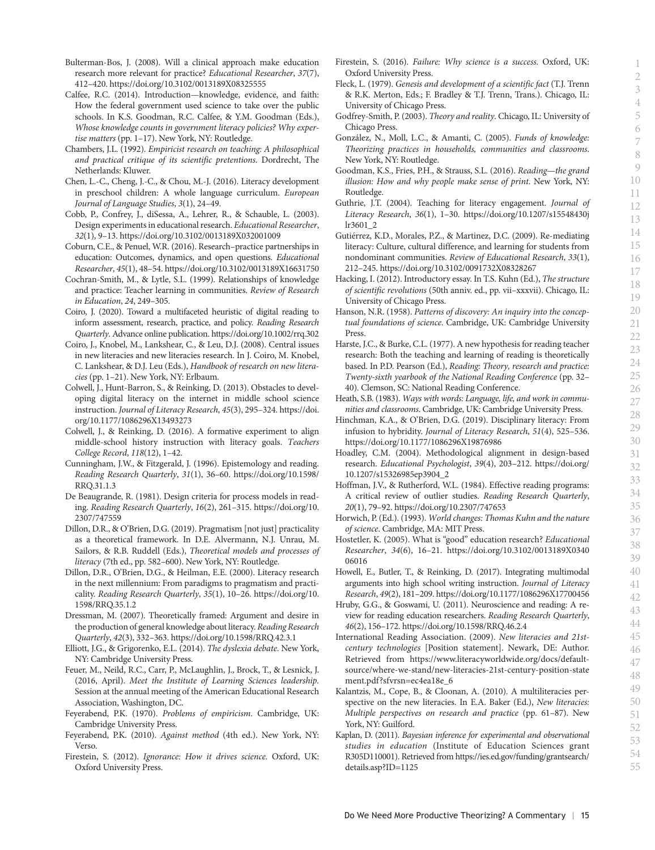- Bulterman-Bos, J. (2008). Will a clinical approach make education research more relevant for practice? *Educational Researcher*, *37*(7), 412–420.<https://doi.org/10.3102/0013189X08325555>
- Calfee, R.C. (2014). Introduction—knowledge, evidence, and faith: How the federal government used science to take over the public schools. In K.S. Goodman, R.C. Calfee, & Y.M. Goodman (Eds.), *Whose knowledge counts in government literacy policies? Why expertise matters* (pp. 1–17). New York, NY: Routledge.
- Chambers, J.L. (1992). *Empiricist research on teaching: A philosophical and practical critique of its scientific pretentions*. Dordrecht, The Netherlands: Kluwer.
- Chen, L.-C., Cheng, J.-C., & Chou, M.-J. (2016). Literacy development in preschool children: A whole language curriculum. *European Journal of Language Studies*, *3*(1), 24–49.
- Cobb, P., Confrey, J., diSessa, A., Lehrer, R., & Schauble, L. (2003). Design experiments in educational research. *Educational Researcher*, *32*(1), 9–13.<https://doi.org/10.3102/0013189X032001009>
- Coburn, C.E., & Penuel, W.R. (2016). Research–practice partnerships in education: Outcomes, dynamics, and open questions. *Educational Researcher*, *45*(1), 48–54. <https://doi.org/10.3102/0013189X16631750>
- Cochran-Smith, M., & Lytle, S.L. (1999). Relationships of knowledge and practice: Teacher learning in communities. *Review of Research in Education*, *24*, 249–305.
- Coiro, J. (2020). Toward a multifaceted heuristic of digital reading to inform assessment, research, practice, and policy. *Reading Research Quarterly*. Advance online publication. <https://doi.org/10.1002/rrq.302>
- Coiro, J., Knobel, M., Lankshear, C., & Leu, D.J. (2008). Central issues in new literacies and new literacies research. In J. Coiro, M. Knobel, C. Lankshear, & D.J. Leu (Eds.), *Handbook of research on new literacies* (pp. 1–21). New York, NY: Erlbaum.
- Colwell, J., Hunt-Barron, S., & Reinking, D. (2013). Obstacles to developing digital literacy on the internet in middle school science instruction. *Journal of Literacy Research*, *45*(3), 295–324. [https://doi.](https://doi.org/10.1177/1086296X13493273) [org/10.1177/1086296X13493273](https://doi.org/10.1177/1086296X13493273)
- Colwell, J., & Reinking, D. (2016). A formative experiment to align middle-school history instruction with literacy goals. *Teachers College Record*, *118*(12), 1–42.
- Cunningham, J.W., & Fitzgerald, J. (1996). Epistemology and reading. *Reading Research Quarterly*, *31*(1), 36–60. [https://doi.org/10.1598/](https://doi.org/10.1598/RRQ.31.1.3) [RRQ.31.1.3](https://doi.org/10.1598/RRQ.31.1.3)
- De Beaugrande, R. (1981). Design criteria for process models in reading. *Reading Research Quarterly*, *16*(2), 261–315. [https://doi.org/10.](https://doi.org/10.2307/747559) [2307/747559](https://doi.org/10.2307/747559)
- Dillon, D.R., & O'Brien, D.G. (2019). Pragmatism [not just] practicality as a theoretical framework. In D.E. Alvermann, N.J. Unrau, M. Sailors, & R.B. Ruddell (Eds.), *Theoretical models and processes of literacy* (7th ed., pp. 582–600). New York, NY: Routledge.
- Dillon, D.R., O'Brien, D.G., & Heilman, E.E. (2000). Literacy research in the next millennium: From paradigms to pragmatism and practicality. *Reading Research Quarterly*, *35*(1), 10–26. [https://doi.org/10.](https://doi.org/10.1598/RRQ.35.1.2) [1598/RRQ.35.1.2](https://doi.org/10.1598/RRQ.35.1.2)
- Dressman, M. (2007). Theoretically framed: Argument and desire in the production of general knowledge about literacy. *Reading Research Quarterly*, *42*(3), 332–363.<https://doi.org/10.1598/RRQ.42.3.1>
- Elliott, J.G., & Grigorenko, E.L. (2014). *The dyslexia debate*. New York, NY: Cambridge University Press.
- Feuer, M., Neild, R.C., Carr, P., McLaughlin, J., Brock, T., & Lesnick, J. (2016, April). *Meet the Institute of Learning Sciences leadership.* Session at the annual meeting of the American Educational Research Association, Washington, DC.
- Feyerabend, P.K. (1970). *Problems of empiricism*. Cambridge, UK: Cambridge University Press.
- Feyerabend, P.K. (2010). *Against method* (4th ed.). New York, NY: Verso.
- Firestein, S. (2012). *Ignorance: How it drives science*. Oxford, UK: Oxford University Press.
- Firestein, S. (2016). *Failure: Why science is a success*. Oxford, UK: Oxford University Press.
- Fleck, L. (1979). *Genesis and development of a scientific fact* (T.J. Trenn & R.K. Merton, Eds.; F. Bradley & T.J. Trenn, Trans.). Chicago, IL: University of Chicago Press.
- Godfrey-Smith, P. (2003). *Theory and reality*. Chicago, IL: University of Chicago Press.
- González, N., Moll, L.C., & Amanti, C. (2005). *Funds of knowledge: Theorizing practices in households, communities and classrooms*. New York, NY: Routledge.
- Goodman, K.S., Fries, P.H., & Strauss, S.L. (2016). *Reading—the grand illusion: How and why people make sense of print*. New York, NY: Routledge.
- Guthrie, J.T. (2004). Teaching for literacy engagement. *Journal of Literacy Research*, *36*(1), 1–30. [https://doi.org/10.1207/s15548430j](https://doi.org/10.1207/s15548430jlr3601_2) [lr3601\\_2](https://doi.org/10.1207/s15548430jlr3601_2)
- Gutiérrez, K.D., Morales, P.Z., & Martinez, D.C. (2009). Re-mediating literacy: Culture, cultural difference, and learning for students from nondominant communities. *Review of Educational Research*, *33*(1), 212–245.<https://doi.org/10.3102/0091732X08328267>
- Hacking, I. (2012). Introductory essay. In T.S. Kuhn (Ed.), *The structure of scientific revolutions* (50th anniv. ed., pp. vii–xxxvii). Chicago, IL: University of Chicago Press.
- Hanson, N.R. (1958). *Patterns of discovery: An inquiry into the conceptual foundations of science*. Cambridge, UK: Cambridge University Press.
- Harste, J.C., & Burke, C.L. (1977). A new hypothesis for reading teacher research: Both the teaching and learning of reading is theoretically based. In P.D. Pearson (Ed.), *Reading: Theory, research and practice: Twenty-sixth yearbook of the National Reading Conference* (pp. 32– 40). Clemson, SC: National Reading Conference.
- Heath, S.B. (1983). *Ways with words: Language, life, and work in communities and classrooms*. Cambridge, UK: Cambridge University Press.
- Hinchman, K.A., & O'Brien, D.G. (2019). Disciplinary literacy: From infusion to hybridity. *Journal of Literacy Research*, *51*(4), 525–536. <https://doi.org/10.1177/1086296X19876986>
- Hoadley, C.M. (2004). Methodological alignment in design-based research. *Educational Psychologist*, *39*(4), 203–212. [https://doi.org/](https://doi.org/10.1207/s15326985ep3904_2) [10.1207/s15326985ep3904\\_2](https://doi.org/10.1207/s15326985ep3904_2)
- Hoffman, J.V., & Rutherford, W.L. (1984). Effective reading programs: A critical review of outlier studies. *Reading Research Quarterly*, *20*(1), 79–92.<https://doi.org/10.2307/747653>
- Horwich, P. (Ed.). (1993). *World changes: Thomas Kuhn and the nature of science*. Cambridge, MA: MIT Press.
- Hostetler, K. (2005). What is "good" education research? *Educational Researcher*, *34*(6), 16–21. [https://doi.org/10.3102/0013189X0340](https://doi.org/10.3102/0013189X034006016) [06016](https://doi.org/10.3102/0013189X034006016)
- Howell, E., Butler, T., & Reinking, D. (2017). Integrating multimodal arguments into high school writing instruction. *Journal of Literacy Research*, *49*(2), 181–209.<https://doi.org/10.1177/1086296X17700456>
- Hruby, G.G., & Goswami, U. (2011). Neuroscience and reading: A review for reading education researchers. *Reading Research Quarterly*, *46*(2), 156–172. <https://doi.org/10.1598/RRQ.46.2.4>
- International Reading Association. (2009). *New literacies and 21stcentury technologies* [Position statement]. Newark, DE: Author. Retrieved from [https://www.literacyworldwide.org/docs/default](https://www.literacyworldwide.org/docs/default-source/where-we-stand/new-literacies-21st-century-position-statement.pdf?sfvrsn=ec4ea18e_6)[source/where-we-stand/new-literacies-21st-century-position-state](https://www.literacyworldwide.org/docs/default-source/where-we-stand/new-literacies-21st-century-position-statement.pdf?sfvrsn=ec4ea18e_6) [ment.pdf?sfvrsn=ec4ea18e\\_6](https://www.literacyworldwide.org/docs/default-source/where-we-stand/new-literacies-21st-century-position-statement.pdf?sfvrsn=ec4ea18e_6)
- Kalantzis, M., Cope, B., & Cloonan, A. (2010). A multiliteracies perspective on the new literacies. In E.A. Baker (Ed.), *New literacies: Multiple perspectives on research and practice* (pp. 61–87). New York, NY: Guilford.
- Kaplan, D. (2011). *Bayesian inference for experimental and observational studies in education* (Institute of Education Sciences grant R305D110001). Retrieved from [https://ies.ed.gov/funding/grantsearch/](https://ies.ed.gov/funding/grantsearch/details.asp?ID=1125) [details.asp?ID=1125](https://ies.ed.gov/funding/grantsearch/details.asp?ID=1125)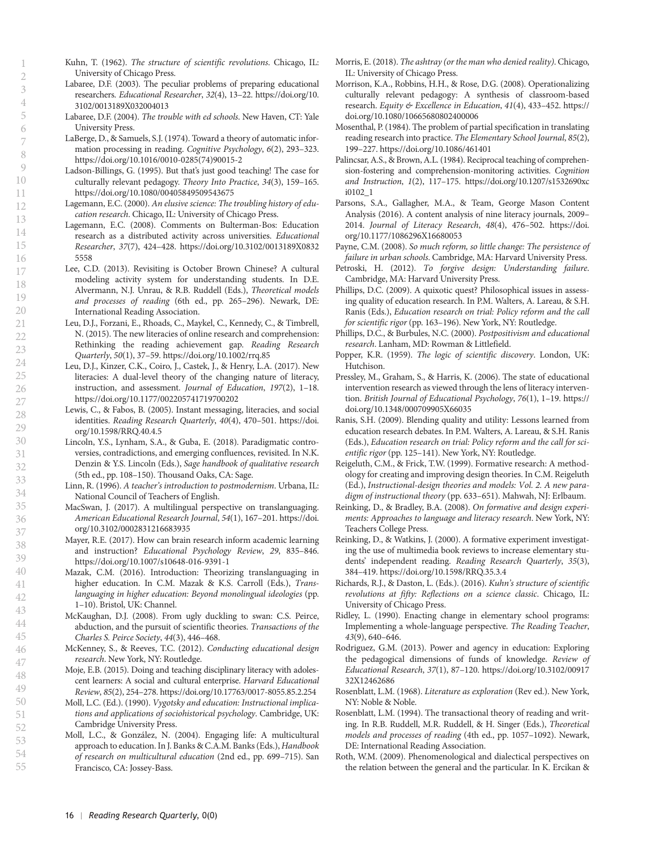Kuhn, T. (1962). *The structure of scientific revolutions*. Chicago, IL: University of Chicago Press.

- Labaree, D.F. (2003). The peculiar problems of preparing educational researchers. *Educational Researcher*, *32*(4), 13–22. [https://doi.org/10.](https://doi.org/10.3102/0013189X032004013) [3102/0013189X032004013](https://doi.org/10.3102/0013189X032004013)
- Labaree, D.F. (2004). *The trouble with ed schools*. New Haven, CT: Yale University Press.
- LaBerge, D., & Samuels, S.J. (1974). Toward a theory of automatic information processing in reading. *Cognitive Psychology*, *6*(2), 293–323. [https://doi.org/10.1016/0010-0285\(74\)90015-2](https://doi.org/10.1016/0010-0285(74)90015-2)
- Ladson-Billings, G. (1995). But that's just good teaching! The case for culturally relevant pedagogy. *Theory Into Practice*, *34*(3), 159–165. <https://doi.org/10.1080/00405849509543675>
- Lagemann, E.C. (2000). *An elusive science: The troubling history of education research*. Chicago, IL: University of Chicago Press.
- Lagemann, E.C. (2008). Comments on Bulterman-Bos: Education research as a distributed activity across universities. *Educational Researcher*, *37*(7), 424–428. [https://doi.org/10.3102/0013189X0832](https://doi.org/10.3102/0013189X08325558) [5558](https://doi.org/10.3102/0013189X08325558)
- Lee, C.D. (2013). Revisiting is October Brown Chinese? A cultural modeling activity system for understanding students. In D.E. Alvermann, N.J. Unrau, & R.B. Ruddell (Eds.), *Theoretical models and processes of reading* (6th ed., pp. 265–296). Newark, DE: International Reading Association.
- Leu, D.J., Forzani, E., Rhoads, C., Maykel, C., Kennedy, C., & Timbrell, N. (2015). The new literacies of online research and comprehension: Rethinking the reading achievement gap. *Reading Research Quarterly*, *50*(1), 37–59.<https://doi.org/10.1002/rrq.85>
- Leu, D.J., Kinzer, C.K., Coiro, J., Castek, J., & Henry, L.A. (2017). New literacies: A dual-level theory of the changing nature of literacy, instruction, and assessment. *Journal of Education*, *197*(2), 1–18. <https://doi.org/10.1177/002205741719700202>
- Lewis, C., & Fabos, B. (2005). Instant messaging, literacies, and social identities. *Reading Research Quarterly*, *40*(4), 470–501. [https://doi.](https://doi.org/10.1598/RRQ.40.4.5) [org/10.1598/RRQ.40.4.5](https://doi.org/10.1598/RRQ.40.4.5)
- Lincoln, Y.S., Lynham, S.A., & Guba, E. (2018). Paradigmatic controversies, contradictions, and emerging confluences, revisited. In N.K. Denzin & Y.S. Lincoln (Eds.), *Sage handbook of qualitative research* (5th ed., pp. 108–150). Thousand Oaks, CA: Sage.
- Linn, R. (1996). *A teacher's introduction to postmodernism*. Urbana, IL: National Council of Teachers of English.
- MacSwan, J. (2017). A multilingual perspective on translanguaging. *American Educational Research Journal*, *54*(1), 167–201. [https://doi.](https://doi.org/10.3102/0002831216683935) [org/10.3102/0002831216683935](https://doi.org/10.3102/0002831216683935)
- Mayer, R.E. (2017). How can brain research inform academic learning and instruction? *Educational Psychology Review*, *29*, 835–846. <https://doi.org/10.1007/s10648-016-9391-1>
- Mazak, C.M. (2016). Introduction: Theorizing translanguaging in higher education. In C.M. Mazak & K.S. Carroll (Eds.), *Translanguaging in higher education: Beyond monolingual ideologies* (pp. 1–10). Bristol, UK: Channel.
- McKaughan, D.J. (2008). From ugly duckling to swan: C.S. Peirce, abduction, and the pursuit of scientific theories. *Transactions of the Charles S. Peirce Society*, *44*(3), 446–468.
- McKenney, S., & Reeves, T.C. (2012). *Conducting educational design research*. New York, NY: Routledge.
- Moje, E.B. (2015). Doing and teaching disciplinary literacy with adolescent learners: A social and cultural enterprise. *Harvard Educational Review*, *85*(2), 254–278.<https://doi.org/10.17763/0017-8055.85.2.254>
- Moll, L.C. (Ed.). (1990). *Vygotsky and education: Instructional implications and applications of sociohistorical psychology*. Cambridge, UK: Cambridge University Press.
- Moll, L.C., & González, N. (2004). Engaging life: A multicultural approach to education. In J. Banks & C.A.M. Banks (Eds.), *Handbook of research on multicultural education* (2nd ed., pp. 699–715). San Francisco, CA: Jossey-Bass.
- Morris, E. (2018). *The ashtray (or the man who denied reality)*. Chicago, IL: University of Chicago Press.
- Morrison, K.A., Robbins, H.H., & Rose, D.G. (2008). Operationalizing culturally relevant pedagogy: A synthesis of classroom-based research. *Equity & Excellence in Education*, *41*(4), 433–452. [https://](https://doi.org/10.1080/10665680802400006) [doi.org/10.1080/10665680802400006](https://doi.org/10.1080/10665680802400006)
- Mosenthal, P. (1984). The problem of partial specification in translating reading research into practice. *The Elementary School Journal*, *85*(2), 199–227.<https://doi.org/10.1086/461401>
- Palincsar, A.S., & Brown, A.L. (1984). Reciprocal teaching of comprehension-fostering and comprehension-monitoring activities. *Cognition and Instruction*, *1*(2), 117–175. [https://doi.org/10.1207/s1532690xc](https://doi.org/10.1207/s1532690xci0102_1) [i0102\\_1](https://doi.org/10.1207/s1532690xci0102_1)
- Parsons, S.A., Gallagher, M.A., & Team, George Mason Content Analysis (2016). A content analysis of nine literacy journals, 2009– 2014. *Journal of Literacy Research*, *48*(4), 476–502. [https://doi.](https://doi.org/10.1177/1086296X16680053) [org/10.1177/1086296X16680053](https://doi.org/10.1177/1086296X16680053)
- Payne, C.M. (2008). *So much reform, so little change: The persistence of failure in urban schools*. Cambridge, MA: Harvard University Press.
- Petroski, H. (2012). *To forgive design: Understanding failure*. Cambridge, MA: Harvard University Press.
- Phillips, D.C. (2009). A quixotic quest? Philosophical issues in assessing quality of education research. In P.M. Walters, A. Lareau, & S.H. Ranis (Eds.), *Education research on trial: Policy reform and the call for scientific rigor* (pp. 163–196). New York, NY: Routledge.
- Phillips, D.C., & Burbules, N.C. (2000). *Postpositivism and educational research*. Lanham, MD: Rowman & Littlefield.
- Popper, K.R. (1959). *The logic of scientific discovery*. London, UK: Hutchison.
- Pressley, M., Graham, S., & Harris, K. (2006). The state of educational intervention research as viewed through the lens of literacy intervention. *British Journal of Educational Psychology*, *76*(1), 1–19. [https://](https://doi.org/10.1348/000709905X66035) [doi.org/10.1348/000709905X66035](https://doi.org/10.1348/000709905X66035)
- Ranis, S.H. (2009). Blending quality and utility: Lessons learned from education research debates. In P.M. Walters, A. Lareau, & S.H. Ranis (Eds.), *Education research on trial: Policy reform and the call for scientific rigor* (pp. 125–141). New York, NY: Routledge.
- Reigeluth, C.M., & Frick, T.W. (1999). Formative research: A methodology for creating and improving design theories. In C.M. Reigeluth (Ed.), *Instructional-design theories and models: Vol. 2. A new paradigm of instructional theory* (pp. 633–651). Mahwah, NJ: Erlbaum.
- Reinking, D., & Bradley, B.A. (2008). *On formative and design experiments: Approaches to language and literacy research*. New York, NY: Teachers College Press.
- Reinking, D., & Watkins, J. (2000). A formative experiment investigating the use of multimedia book reviews to increase elementary students' independent reading. *Reading Research Quarterly*, *35*(3), 384–419.<https://doi.org/10.1598/RRQ.35.3.4>
- Richards, R.J., & Daston, L. (Eds.). (2016). *Kuhn's structure of scientific revolutions at fifty: Reflections on a science classic*. Chicago, IL: University of Chicago Press.
- Ridley, L. (1990). Enacting change in elementary school programs: Implementing a whole-language perspective. *The Reading Teacher*, *43*(9), 640–646.
- Rodriguez, G.M. (2013). Power and agency in education: Exploring the pedagogical dimensions of funds of knowledge. *Review of Educational Research*, *37*(1), 87–120. [https://doi.org/10.3102/00917](https://doi.org/10.3102/0091732X12462686) [32X12462686](https://doi.org/10.3102/0091732X12462686)
- Rosenblatt, L.M. (1968). *Literature as exploration* (Rev ed.). New York, NY: Noble & Noble.
- Rosenblatt, L.M. (1994). The transactional theory of reading and writing. In R.B. Ruddell, M.R. Ruddell, & H. Singer (Eds.), *Theoretical models and processes of reading* (4th ed., pp. 1057–1092). Newark, DE: International Reading Association.
- Roth, W.M. (2009). Phenomenological and dialectical perspectives on the relation between the general and the particular. In K. Ercikan &